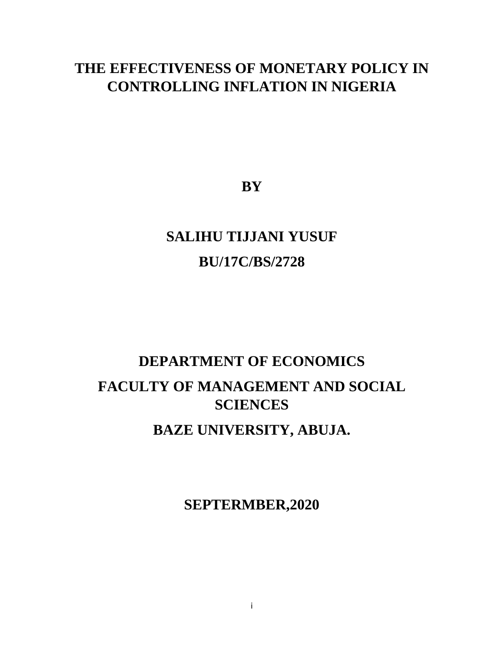## **THE EFFECTIVENESS OF MONETARY POLICY IN CONTROLLING INFLATION IN NIGERIA**

**BY**

# **SALIHU TIJJANI YUSUF BU/17C/BS/2728**

# **DEPARTMENT OF ECONOMICS FACULTY OF MANAGEMENT AND SOCIAL SCIENCES BAZE UNIVERSITY, ABUJA.**

**SEPTERMBER,2020**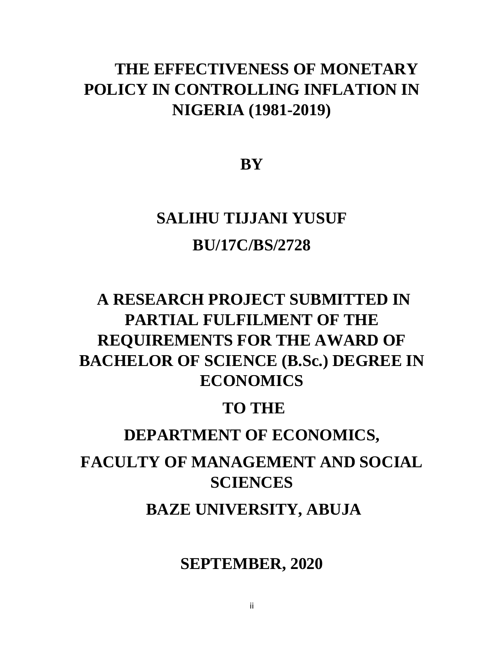# **THE EFFECTIVENESS OF MONETARY POLICY IN CONTROLLING INFLATION IN NIGERIA (1981-2019)**

**BY**

# **SALIHU TIJJANI YUSUF BU/17C/BS/2728**

# **A RESEARCH PROJECT SUBMITTED IN PARTIAL FULFILMENT OF THE REQUIREMENTS FOR THE AWARD OF BACHELOR OF SCIENCE (B.Sc.) DEGREE IN ECONOMICS**

## **TO THE**

## **DEPARTMENT OF ECONOMICS,**

# **FACULTY OF MANAGEMENT AND SOCIAL SCIENCES**

**BAZE UNIVERSITY, ABUJA** 

**SEPTEMBER, 2020**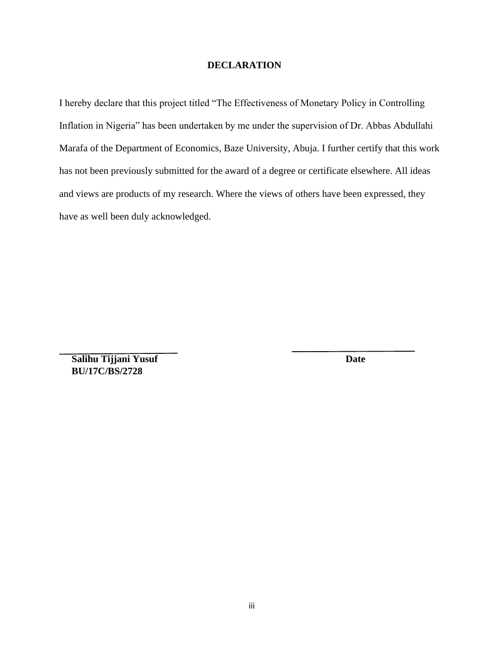#### **DECLARATION**

I hereby declare that this project titled "The Effectiveness of Monetary Policy in Controlling Inflation in Nigeria" has been undertaken by me under the supervision of Dr. Abbas Abdullahi Marafa of the Department of Economics, Baze University, Abuja. I further certify that this work has not been previously submitted for the award of a degree or certificate elsewhere. All ideas and views are products of my research. Where the views of others have been expressed, they have as well been duly acknowledged.

**Salihu Tijjani Yusuf** Date  **BU/17C/BS/2728**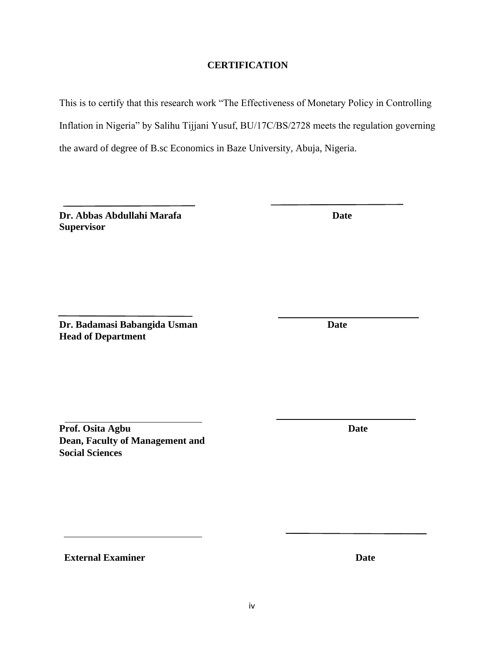iv

### **CERTIFICATION**

This is to certify that this research work "The Effectiveness of Monetary Policy in Controlling Inflation in Nigeria" by Salihu Tijjani Yusuf, BU/17C/BS/2728 meets the regulation governing the award of degree of B.sc Economics in Baze University, Abuja, Nigeria.

**Dr. Abbas Abdullahi Marafa** Date **Supervisor**

**Dr. Badamasi Babangida Usman Date Head of Department**

**Prof. Osita Agbu Date Dean, Faculty of Management and Social Sciences**

**External Examiner Date**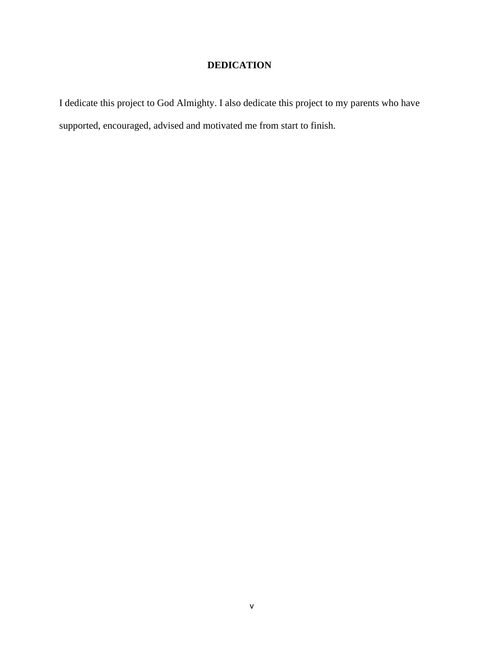### **DEDICATION**

I dedicate this project to God Almighty. I also dedicate this project to my parents who have supported, encouraged, advised and motivated me from start to finish.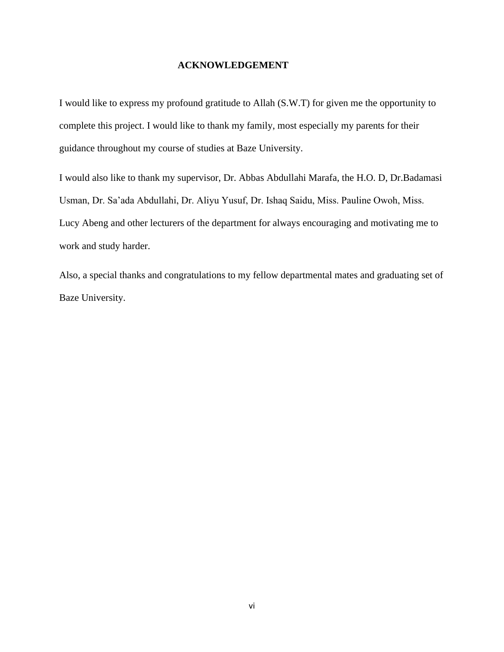#### **ACKNOWLEDGEMENT**

I would like to express my profound gratitude to Allah (S.W.T) for given me the opportunity to complete this project. I would like to thank my family, most especially my parents for their guidance throughout my course of studies at Baze University.

I would also like to thank my supervisor, Dr. Abbas Abdullahi Marafa, the H.O. D, Dr.Badamasi Usman, Dr. Sa'ada Abdullahi, Dr. Aliyu Yusuf, Dr. Ishaq Saidu, Miss. Pauline Owoh, Miss. Lucy Abeng and other lecturers of the department for always encouraging and motivating me to work and study harder.

Also, a special thanks and congratulations to my fellow departmental mates and graduating set of Baze University.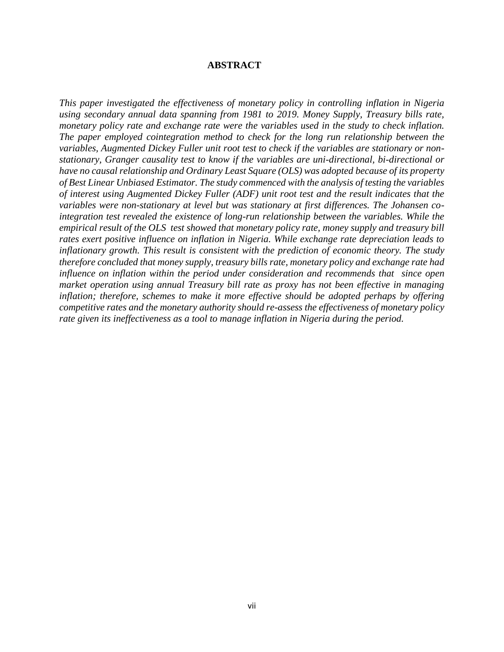#### **ABSTRACT**

*This paper investigated the effectiveness of monetary policy in controlling inflation in Nigeria using secondary annual data spanning from 1981 to 2019. Money Supply, Treasury bills rate, monetary policy rate and exchange rate were the variables used in the study to check inflation. The paper employed cointegration method to check for the long run relationship between the variables, Augmented Dickey Fuller unit root test to check if the variables are stationary or nonstationary, Granger causality test to know if the variables are uni-directional, bi-directional or have no causal relationship and Ordinary Least Square (OLS) was adopted because of its property of Best Linear Unbiased Estimator. The study commenced with the analysis of testing the variables of interest using Augmented Dickey Fuller (ADF) unit root test and the result indicates that the variables were non-stationary at level but was stationary at first differences. The Johansen cointegration test revealed the existence of long-run relationship between the variables. While the empirical result of the OLS test showed that monetary policy rate, money supply and treasury bill rates exert positive influence on inflation in Nigeria. While exchange rate depreciation leads to inflationary growth. This result is consistent with the prediction of economic theory. The study therefore concluded that money supply, treasury bills rate, monetary policy and exchange rate had influence on inflation within the period under consideration and recommends that since open market operation using annual Treasury bill rate as proxy has not been effective in managing inflation; therefore, schemes to make it more effective should be adopted perhaps by offering competitive rates and the monetary authority should re-assess the effectiveness of monetary policy rate given its ineffectiveness as a tool to manage inflation in Nigeria during the period.*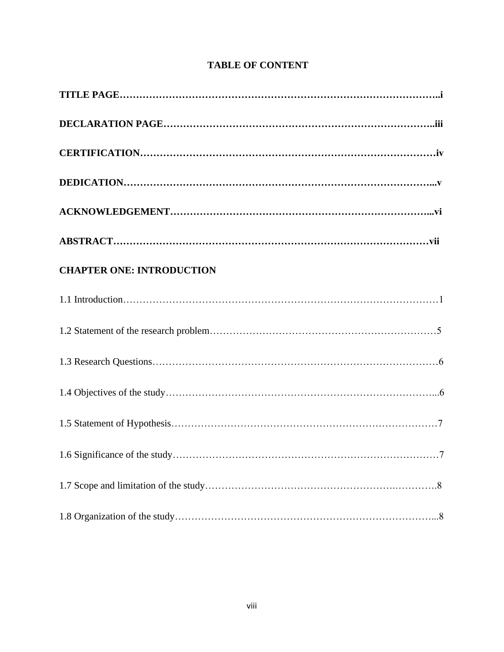| <b>CHAPTER ONE: INTRODUCTION</b> |
|----------------------------------|
|                                  |
|                                  |
|                                  |
|                                  |
|                                  |
|                                  |
|                                  |
|                                  |

### **TABLE OF CONTENT**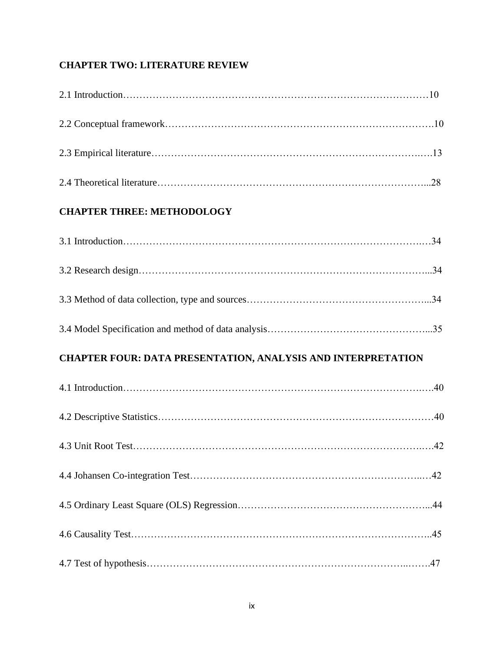### **CHAPTER TWO: LITERATURE REVIEW**

| <b>CHAPTER THREE: METHODOLOGY</b>                            |  |
|--------------------------------------------------------------|--|
|                                                              |  |
|                                                              |  |
|                                                              |  |
|                                                              |  |
| CHAPTER FOUR: DATA PRESENTATION, ANALYSIS AND INTERPRETATION |  |
|                                                              |  |
|                                                              |  |
|                                                              |  |
|                                                              |  |
|                                                              |  |
|                                                              |  |
|                                                              |  |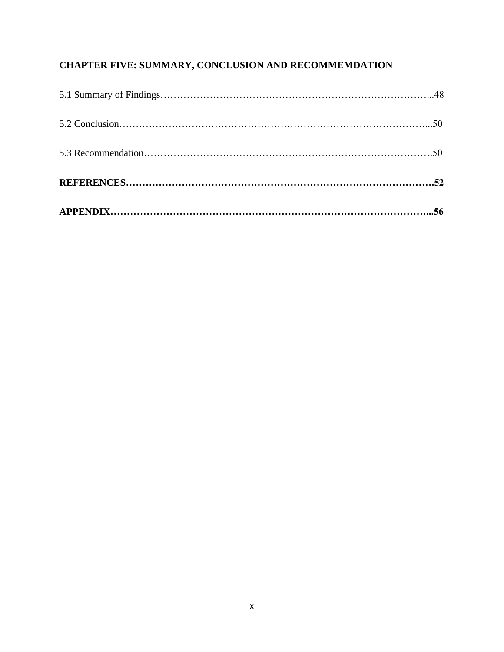## **CHAPTER FIVE: SUMMARY, CONCLUSION AND RECOMMEMDATION**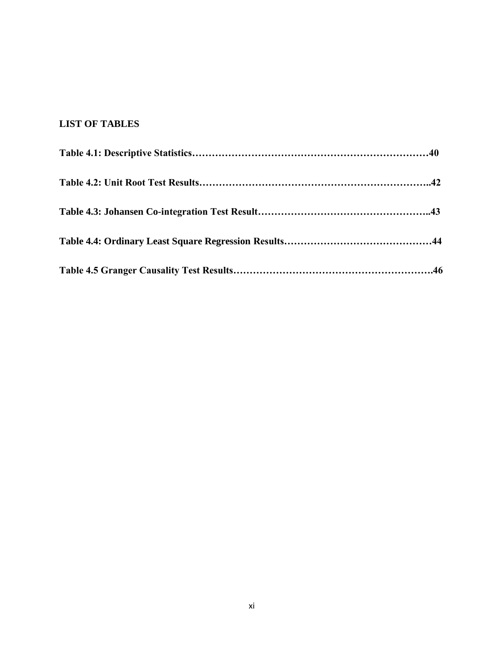### **LIST OF TABLES**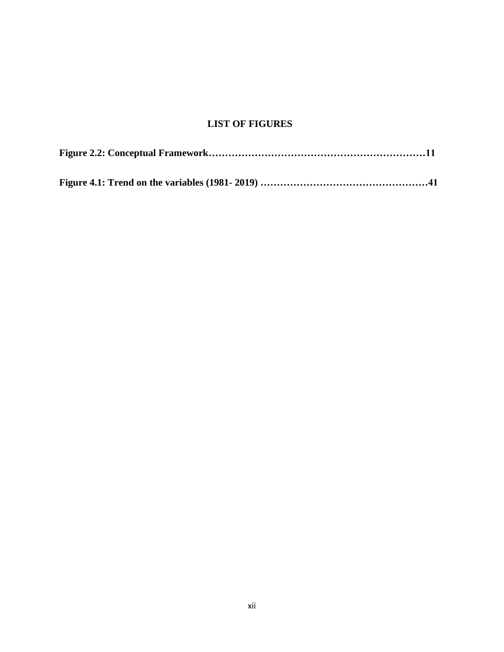### **LIST OF FIGURES**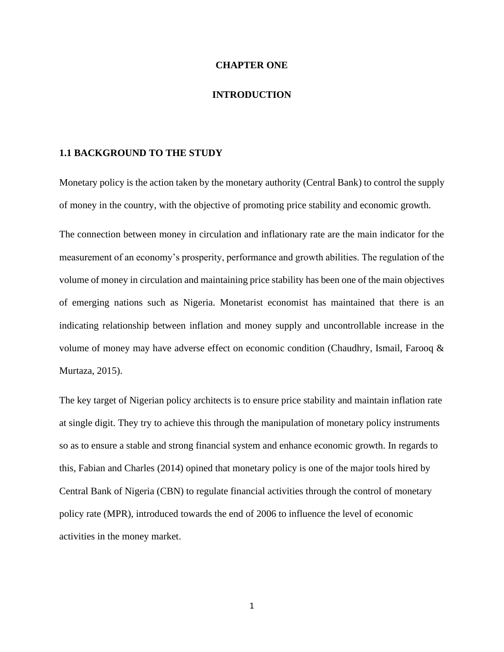#### **CHAPTER ONE**

#### **INTRODUCTION**

#### **1.1 BACKGROUND TO THE STUDY**

Monetary policy is the action taken by the monetary authority (Central Bank) to control the supply of money in the country, with the objective of promoting price stability and economic growth.

The connection between money in circulation and inflationary rate are the main indicator for the measurement of an economy's prosperity, performance and growth abilities. The regulation of the volume of money in circulation and maintaining price stability has been one of the main objectives of emerging nations such as Nigeria. Monetarist economist has maintained that there is an indicating relationship between inflation and money supply and uncontrollable increase in the volume of money may have adverse effect on economic condition (Chaudhry, Ismail, Farooq & Murtaza, 2015).

The key target of Nigerian policy architects is to ensure price stability and maintain inflation rate at single digit. They try to achieve this through the manipulation of monetary policy instruments so as to ensure a stable and strong financial system and enhance economic growth. In regards to this, Fabian and Charles (2014) opined that monetary policy is one of the major tools hired by Central Bank of Nigeria (CBN) to regulate financial activities through the control of monetary policy rate (MPR), introduced towards the end of 2006 to influence the level of economic activities in the money market.

1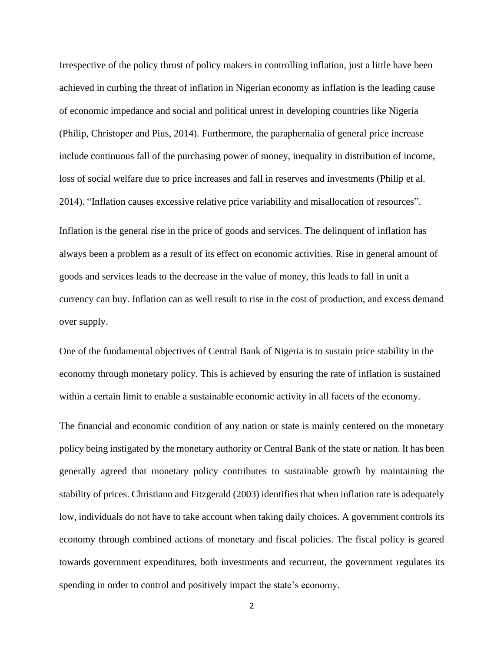Irrespective of the policy thrust of policy makers in controlling inflation, just a little have been achieved in curbing the threat of inflation in Nigerian economy as inflation is the leading cause of economic impedance and social and political unrest in developing countries like Nigeria (Philip, Christoper and Pius, 2014). Furthermore, the paraphernalia of general price increase include continuous fall of the purchasing power of money, inequality in distribution of income, loss of social welfare due to price increases and fall in reserves and investments (Philip et al. 2014). "Inflation causes excessive relative price variability and misallocation of resources".

Inflation is the general rise in the price of goods and services. The delinquent of inflation has always been a problem as a result of its effect on economic activities. Rise in general amount of goods and services leads to the decrease in the value of money, this leads to fall in unit a currency can buy. Inflation can as well result to rise in the cost of production, and excess demand over supply.

One of the fundamental objectives of Central Bank of Nigeria is to sustain price stability in the economy through monetary policy. This is achieved by ensuring the rate of inflation is sustained within a certain limit to enable a sustainable economic activity in all facets of the economy.

The financial and economic condition of any nation or state is mainly centered on the monetary policy being instigated by the monetary authority or Central Bank of the state or nation. It has been generally agreed that monetary policy contributes to sustainable growth by maintaining the stability of prices. Christiano and Fitzgerald (2003) identifies that when inflation rate is adequately low, individuals do not have to take account when taking daily choices. A government controls its economy through combined actions of monetary and fiscal policies. The fiscal policy is geared towards government expenditures, both investments and recurrent, the government regulates its spending in order to control and positively impact the state's economy.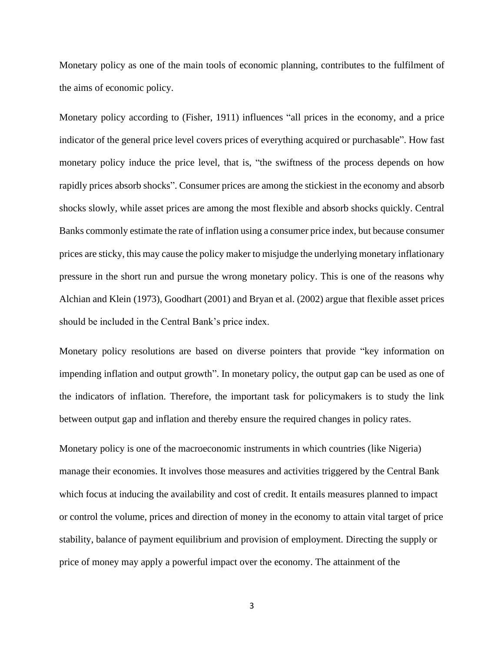Monetary policy as one of the main tools of economic planning, contributes to the fulfilment of the aims of economic policy.

Monetary policy according to (Fisher, 1911) influences "all prices in the economy, and a price indicator of the general price level covers prices of everything acquired or purchasable". How fast monetary policy induce the price level, that is, "the swiftness of the process depends on how rapidly prices absorb shocks". Consumer prices are among the stickiest in the economy and absorb shocks slowly, while asset prices are among the most flexible and absorb shocks quickly. Central Banks commonly estimate the rate of inflation using a consumer price index, but because consumer prices are sticky, this may cause the policy maker to misjudge the underlying monetary inflationary pressure in the short run and pursue the wrong monetary policy. This is one of the reasons why Alchian and Klein (1973), Goodhart (2001) and Bryan et al. (2002) argue that flexible asset prices should be included in the Central Bank's price index.

Monetary policy resolutions are based on diverse pointers that provide "key information on impending inflation and output growth". In monetary policy, the output gap can be used as one of the indicators of inflation. Therefore, the important task for policymakers is to study the link between output gap and inflation and thereby ensure the required changes in policy rates.

Monetary policy is one of the macroeconomic instruments in which countries (like Nigeria) manage their economies. It involves those measures and activities triggered by the Central Bank which focus at inducing the availability and cost of credit. It entails measures planned to impact or control the volume, prices and direction of money in the economy to attain vital target of price stability, balance of payment equilibrium and provision of employment. Directing the supply or price of money may apply a powerful impact over the economy. The attainment of the

3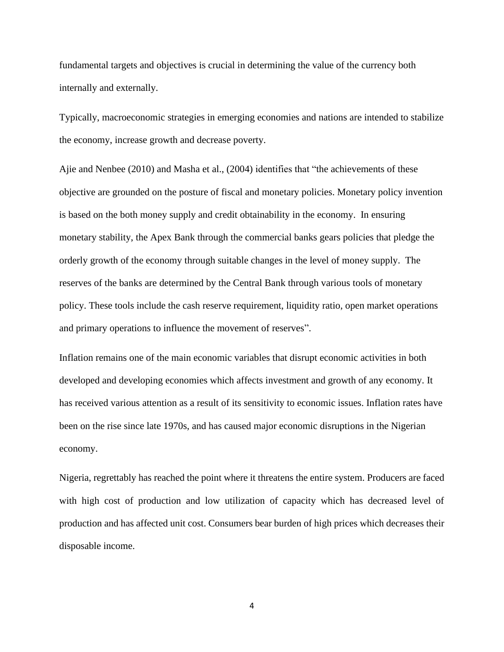fundamental targets and objectives is crucial in determining the value of the currency both internally and externally.

Typically, macroeconomic strategies in emerging economies and nations are intended to stabilize the economy, increase growth and decrease poverty.

Ajie and Nenbee (2010) and Masha et al., (2004) identifies that "the achievements of these objective are grounded on the posture of fiscal and monetary policies. Monetary policy invention is based on the both money supply and credit obtainability in the economy. In ensuring monetary stability, the Apex Bank through the commercial banks gears policies that pledge the orderly growth of the economy through suitable changes in the level of money supply. The reserves of the banks are determined by the Central Bank through various tools of monetary policy. These tools include the cash reserve requirement, liquidity ratio, open market operations and primary operations to influence the movement of reserves".

Inflation remains one of the main economic variables that disrupt economic activities in both developed and developing economies which affects investment and growth of any economy. It has received various attention as a result of its sensitivity to economic issues. Inflation rates have been on the rise since late 1970s, and has caused major economic disruptions in the Nigerian economy.

Nigeria, regrettably has reached the point where it threatens the entire system. Producers are faced with high cost of production and low utilization of capacity which has decreased level of production and has affected unit cost. Consumers bear burden of high prices which decreases their disposable income.

4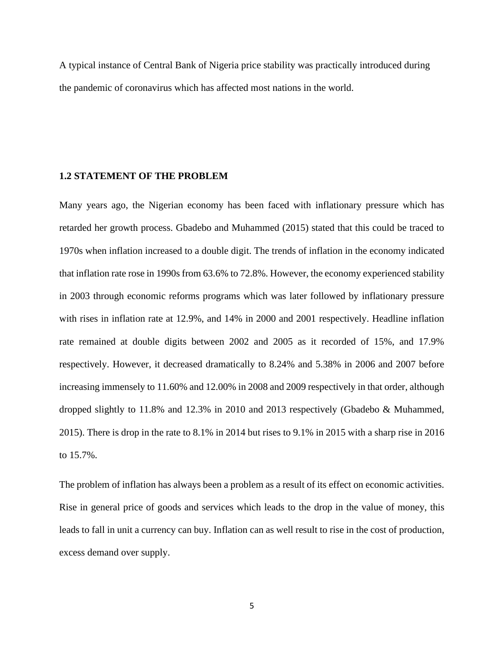A typical instance of Central Bank of Nigeria price stability was practically introduced during the pandemic of coronavirus which has affected most nations in the world.

#### **1.2 STATEMENT OF THE PROBLEM**

Many years ago, the Nigerian economy has been faced with inflationary pressure which has retarded her growth process. Gbadebo and Muhammed (2015) stated that this could be traced to 1970s when inflation increased to a double digit. The trends of inflation in the economy indicated that inflation rate rose in 1990s from 63.6% to 72.8%. However, the economy experienced stability in 2003 through economic reforms programs which was later followed by inflationary pressure with rises in inflation rate at 12.9%, and 14% in 2000 and 2001 respectively. Headline inflation rate remained at double digits between 2002 and 2005 as it recorded of 15%, and 17.9% respectively. However, it decreased dramatically to 8.24% and 5.38% in 2006 and 2007 before increasing immensely to 11.60% and 12.00% in 2008 and 2009 respectively in that order, although dropped slightly to 11.8% and 12.3% in 2010 and 2013 respectively (Gbadebo & Muhammed, 2015). There is drop in the rate to 8.1% in 2014 but rises to 9.1% in 2015 with a sharp rise in 2016 to 15.7%.

The problem of inflation has always been a problem as a result of its effect on economic activities. Rise in general price of goods and services which leads to the drop in the value of money, this leads to fall in unit a currency can buy. Inflation can as well result to rise in the cost of production, excess demand over supply.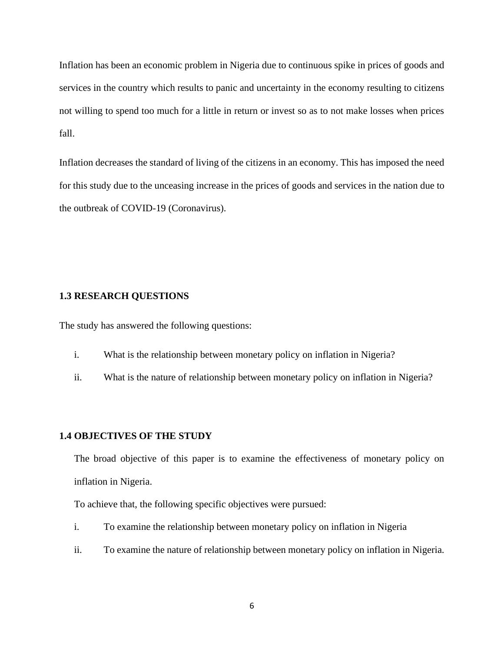Inflation has been an economic problem in Nigeria due to continuous spike in prices of goods and services in the country which results to panic and uncertainty in the economy resulting to citizens not willing to spend too much for a little in return or invest so as to not make losses when prices fall.

Inflation decreases the standard of living of the citizens in an economy. This has imposed the need for this study due to the unceasing increase in the prices of goods and services in the nation due to the outbreak of COVID-19 (Coronavirus).

#### **1.3 RESEARCH QUESTIONS**

The study has answered the following questions:

- i. What is the relationship between monetary policy on inflation in Nigeria?
- ii. What is the nature of relationship between monetary policy on inflation in Nigeria?

#### **1.4 OBJECTIVES OF THE STUDY**

The broad objective of this paper is to examine the effectiveness of monetary policy on inflation in Nigeria.

To achieve that, the following specific objectives were pursued:

- i. To examine the relationship between monetary policy on inflation in Nigeria
- ii. To examine the nature of relationship between monetary policy on inflation in Nigeria.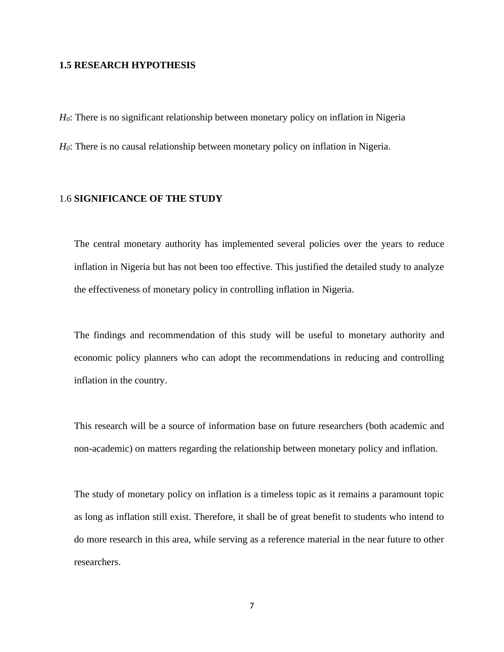#### **1.5 RESEARCH HYPOTHESIS**

*H0*: There is no significant relationship between monetary policy on inflation in Nigeria

*H*<sup>0</sup>: There is no causal relationship between monetary policy on inflation in Nigeria.

#### 1.6 **SIGNIFICANCE OF THE STUDY**

The central monetary authority has implemented several policies over the years to reduce inflation in Nigeria but has not been too effective. This justified the detailed study to analyze the effectiveness of monetary policy in controlling inflation in Nigeria.

The findings and recommendation of this study will be useful to monetary authority and economic policy planners who can adopt the recommendations in reducing and controlling inflation in the country.

This research will be a source of information base on future researchers (both academic and non-academic) on matters regarding the relationship between monetary policy and inflation.

The study of monetary policy on inflation is a timeless topic as it remains a paramount topic as long as inflation still exist. Therefore, it shall be of great benefit to students who intend to do more research in this area, while serving as a reference material in the near future to other researchers.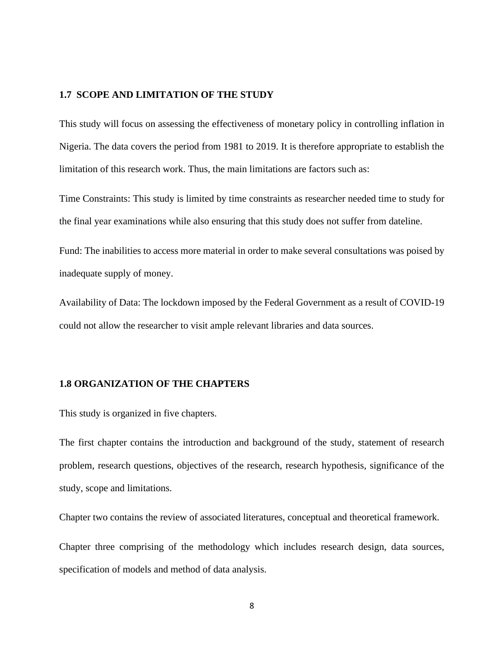#### **1.7 SCOPE AND LIMITATION OF THE STUDY**

This study will focus on assessing the effectiveness of monetary policy in controlling inflation in Nigeria. The data covers the period from 1981 to 2019. It is therefore appropriate to establish the limitation of this research work. Thus, the main limitations are factors such as:

Time Constraints: This study is limited by time constraints as researcher needed time to study for the final year examinations while also ensuring that this study does not suffer from dateline.

Fund: The inabilities to access more material in order to make several consultations was poised by inadequate supply of money.

Availability of Data: The lockdown imposed by the Federal Government as a result of COVID-19 could not allow the researcher to visit ample relevant libraries and data sources.

#### **1.8 ORGANIZATION OF THE CHAPTERS**

This study is organized in five chapters.

The first chapter contains the introduction and background of the study, statement of research problem, research questions, objectives of the research, research hypothesis, significance of the study, scope and limitations.

Chapter two contains the review of associated literatures, conceptual and theoretical framework.

Chapter three comprising of the methodology which includes research design, data sources, specification of models and method of data analysis.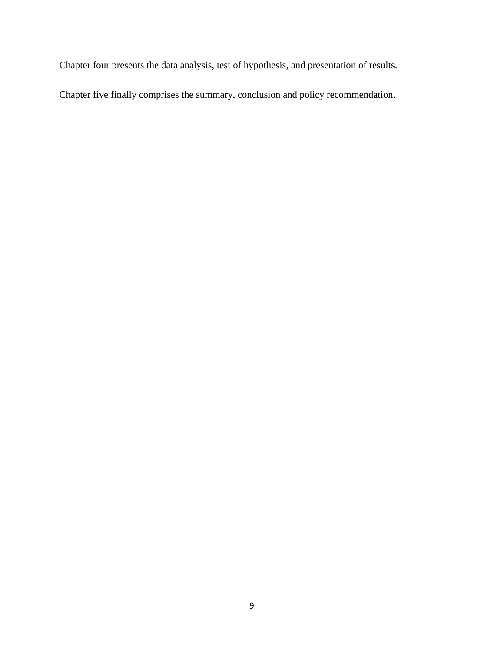Chapter four presents the data analysis, test of hypothesis, and presentation of results.

Chapter five finally comprises the summary, conclusion and policy recommendation.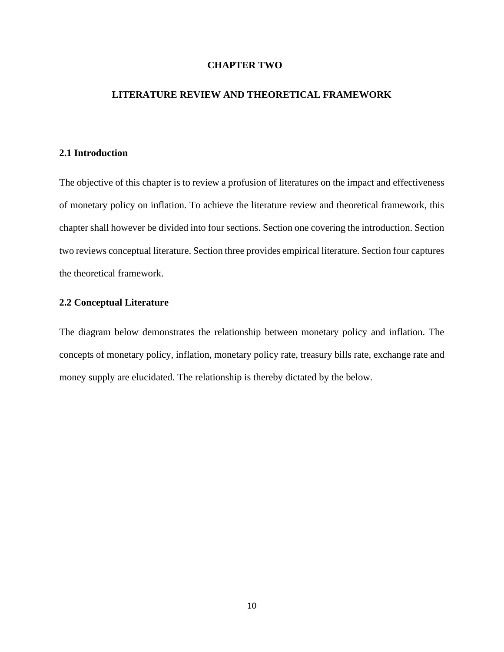#### **CHAPTER TWO**

#### **LITERATURE REVIEW AND THEORETICAL FRAMEWORK**

#### **2.1 Introduction**

The objective of this chapter is to review a profusion of literatures on the impact and effectiveness of monetary policy on inflation. To achieve the literature review and theoretical framework, this chapter shall however be divided into four sections. Section one covering the introduction. Section two reviews conceptual literature. Section three provides empirical literature. Section four captures the theoretical framework.

#### **2.2 Conceptual Literature**

The diagram below demonstrates the relationship between monetary policy and inflation. The concepts of monetary policy, inflation, monetary policy rate, treasury bills rate, exchange rate and money supply are elucidated. The relationship is thereby dictated by the below.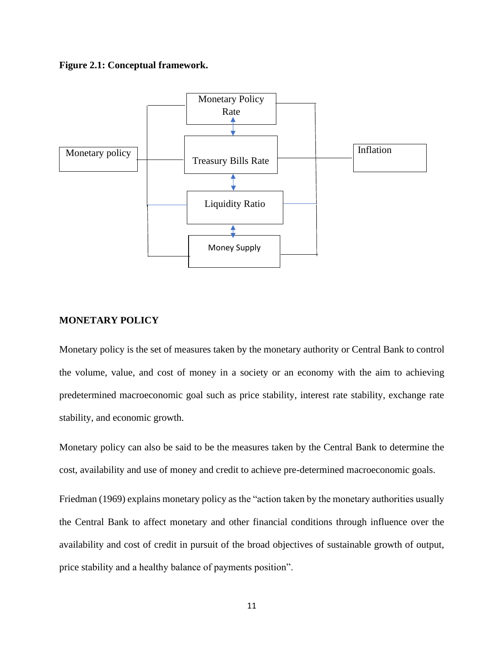#### **Figure 2.1: Conceptual framework.**



#### **MONETARY POLICY**

Monetary policy is the set of measures taken by the monetary authority or Central Bank to control the volume, value, and cost of money in a society or an economy with the aim to achieving predetermined macroeconomic goal such as price stability, interest rate stability, exchange rate stability, and economic growth.

Monetary policy can also be said to be the measures taken by the Central Bank to determine the cost, availability and use of money and credit to achieve pre-determined macroeconomic goals.

Friedman (1969) explains monetary policy as the "action taken by the monetary authorities usually the Central Bank to affect monetary and other financial conditions through influence over the availability and cost of credit in pursuit of the broad objectives of sustainable growth of output, price stability and a healthy balance of payments position".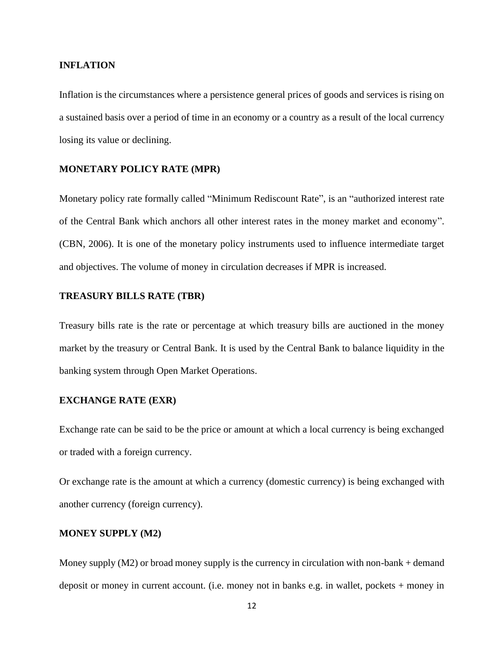#### **INFLATION**

Inflation is the circumstances where a persistence general prices of goods and services is rising on a sustained basis over a period of time in an economy or a country as a result of the local currency losing its value or declining.

#### **MONETARY POLICY RATE (MPR)**

Monetary policy rate formally called "Minimum Rediscount Rate", is an "authorized interest rate of the Central Bank which anchors all other interest rates in the money market and economy". (CBN, 2006). It is one of the monetary policy instruments used to influence intermediate target and objectives. The volume of money in circulation decreases if MPR is increased.

#### **TREASURY BILLS RATE (TBR)**

Treasury bills rate is the rate or percentage at which treasury bills are auctioned in the money market by the treasury or Central Bank. It is used by the Central Bank to balance liquidity in the banking system through Open Market Operations.

#### **EXCHANGE RATE (EXR)**

Exchange rate can be said to be the price or amount at which a local currency is being exchanged or traded with a foreign currency.

Or exchange rate is the amount at which a currency (domestic currency) is being exchanged with another currency (foreign currency).

#### **MONEY SUPPLY (M2)**

Money supply  $(M2)$  or broad money supply is the currency in circulation with non-bank + demand deposit or money in current account. (i.e. money not in banks e.g. in wallet, pockets + money in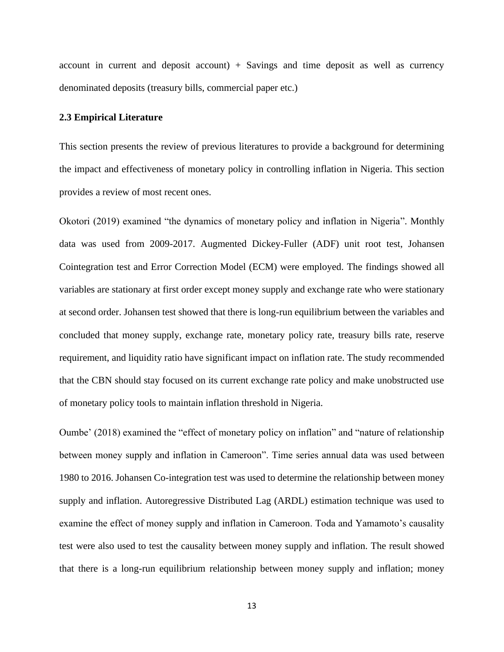account in current and deposit account)  $+$  Savings and time deposit as well as currency denominated deposits (treasury bills, commercial paper etc.)

#### **2.3 Empirical Literature**

This section presents the review of previous literatures to provide a background for determining the impact and effectiveness of monetary policy in controlling inflation in Nigeria. This section provides a review of most recent ones.

Okotori (2019) examined "the dynamics of monetary policy and inflation in Nigeria". Monthly data was used from 2009-2017. Augmented Dickey-Fuller (ADF) unit root test, Johansen Cointegration test and Error Correction Model (ECM) were employed. The findings showed all variables are stationary at first order except money supply and exchange rate who were stationary at second order. Johansen test showed that there is long-run equilibrium between the variables and concluded that money supply, exchange rate, monetary policy rate, treasury bills rate, reserve requirement, and liquidity ratio have significant impact on inflation rate. The study recommended that the CBN should stay focused on its current exchange rate policy and make unobstructed use of monetary policy tools to maintain inflation threshold in Nigeria.

Oumbe' (2018) examined the "effect of monetary policy on inflation" and "nature of relationship between money supply and inflation in Cameroon". Time series annual data was used between 1980 to 2016. Johansen Co-integration test was used to determine the relationship between money supply and inflation. Autoregressive Distributed Lag (ARDL) estimation technique was used to examine the effect of money supply and inflation in Cameroon. Toda and Yamamoto's causality test were also used to test the causality between money supply and inflation. The result showed that there is a long-run equilibrium relationship between money supply and inflation; money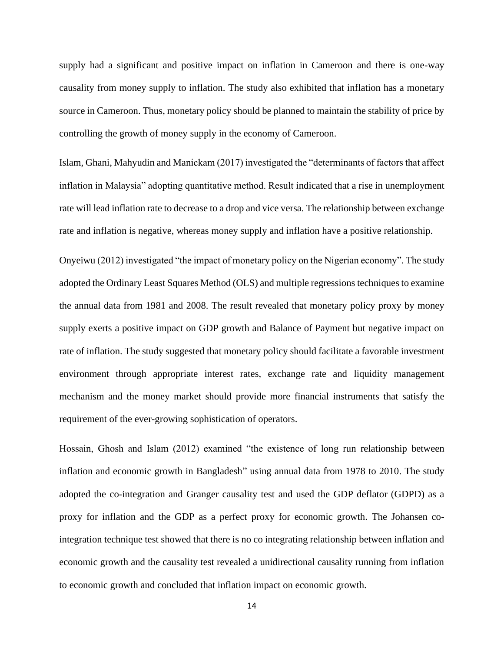supply had a significant and positive impact on inflation in Cameroon and there is one-way causality from money supply to inflation. The study also exhibited that inflation has a monetary source in Cameroon. Thus, monetary policy should be planned to maintain the stability of price by controlling the growth of money supply in the economy of Cameroon.

Islam, Ghani, Mahyudin and Manickam (2017) investigated the "determinants of factors that affect inflation in Malaysia" adopting quantitative method. Result indicated that a rise in unemployment rate will lead inflation rate to decrease to a drop and vice versa. The relationship between exchange rate and inflation is negative, whereas money supply and inflation have a positive relationship.

Onyeiwu (2012) investigated "the impact of monetary policy on the Nigerian economy". The study adopted the Ordinary Least Squares Method (OLS) and multiple regressions techniques to examine the annual data from 1981 and 2008. The result revealed that monetary policy proxy by money supply exerts a positive impact on GDP growth and Balance of Payment but negative impact on rate of inflation. The study suggested that monetary policy should facilitate a favorable investment environment through appropriate interest rates, exchange rate and liquidity management mechanism and the money market should provide more financial instruments that satisfy the requirement of the ever-growing sophistication of operators.

Hossain, Ghosh and Islam (2012) examined "the existence of long run relationship between inflation and economic growth in Bangladesh" using annual data from 1978 to 2010. The study adopted the co-integration and Granger causality test and used the GDP deflator (GDPD) as a proxy for inflation and the GDP as a perfect proxy for economic growth. The Johansen cointegration technique test showed that there is no co integrating relationship between inflation and economic growth and the causality test revealed a unidirectional causality running from inflation to economic growth and concluded that inflation impact on economic growth.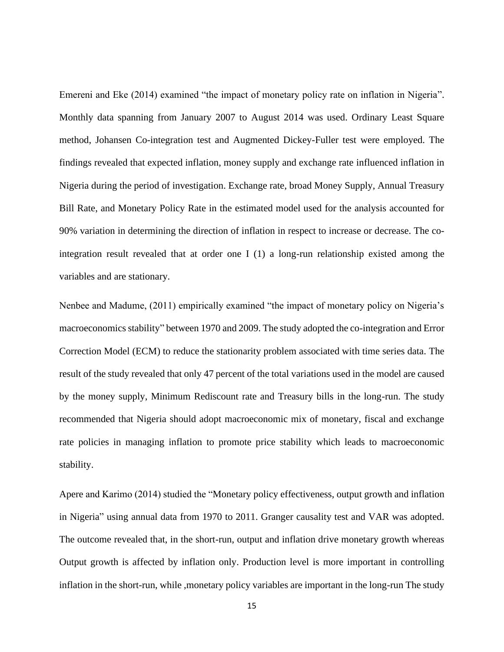Emereni and Eke (2014) examined "the impact of monetary policy rate on inflation in Nigeria". Monthly data spanning from January 2007 to August 2014 was used. Ordinary Least Square method, Johansen Co-integration test and Augmented Dickey-Fuller test were employed. The findings revealed that expected inflation, money supply and exchange rate influenced inflation in Nigeria during the period of investigation. Exchange rate, broad Money Supply, Annual Treasury Bill Rate, and Monetary Policy Rate in the estimated model used for the analysis accounted for 90% variation in determining the direction of inflation in respect to increase or decrease. The cointegration result revealed that at order one I (1) a long-run relationship existed among the variables and are stationary.

Nenbee and Madume, (2011) empirically examined "the impact of monetary policy on Nigeria's macroeconomics stability" between 1970 and 2009. The study adopted the co-integration and Error Correction Model (ECM) to reduce the stationarity problem associated with time series data. The result of the study revealed that only 47 percent of the total variations used in the model are caused by the money supply, Minimum Rediscount rate and Treasury bills in the long-run. The study recommended that Nigeria should adopt macroeconomic mix of monetary, fiscal and exchange rate policies in managing inflation to promote price stability which leads to macroeconomic stability.

Apere and Karimo (2014) studied the "Monetary policy effectiveness, output growth and inflation in Nigeria" using annual data from 1970 to 2011. Granger causality test and VAR was adopted. The outcome revealed that, in the short-run, output and inflation drive monetary growth whereas Output growth is affected by inflation only. Production level is more important in controlling inflation in the short-run, while ,monetary policy variables are important in the long-run The study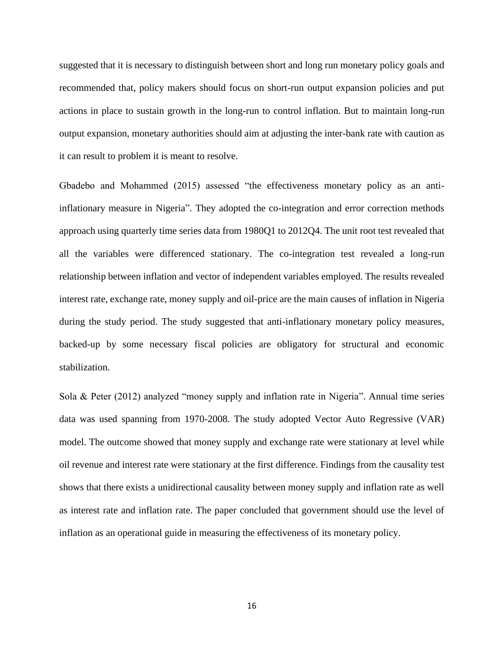suggested that it is necessary to distinguish between short and long run monetary policy goals and recommended that, policy makers should focus on short-run output expansion policies and put actions in place to sustain growth in the long-run to control inflation. But to maintain long-run output expansion, monetary authorities should aim at adjusting the inter-bank rate with caution as it can result to problem it is meant to resolve.

Gbadebo and Mohammed (2015) assessed "the effectiveness monetary policy as an antiinflationary measure in Nigeria". They adopted the co-integration and error correction methods approach using quarterly time series data from 1980Q1 to 2012Q4. The unit root test revealed that all the variables were differenced stationary. The co-integration test revealed a long-run relationship between inflation and vector of independent variables employed. The results revealed interest rate, exchange rate, money supply and oil-price are the main causes of inflation in Nigeria during the study period. The study suggested that anti-inflationary monetary policy measures, backed-up by some necessary fiscal policies are obligatory for structural and economic stabilization.

Sola & Peter (2012) analyzed "money supply and inflation rate in Nigeria". Annual time series data was used spanning from 1970-2008. The study adopted Vector Auto Regressive (VAR) model. The outcome showed that money supply and exchange rate were stationary at level while oil revenue and interest rate were stationary at the first difference. Findings from the causality test shows that there exists a unidirectional causality between money supply and inflation rate as well as interest rate and inflation rate. The paper concluded that government should use the level of inflation as an operational guide in measuring the effectiveness of its monetary policy.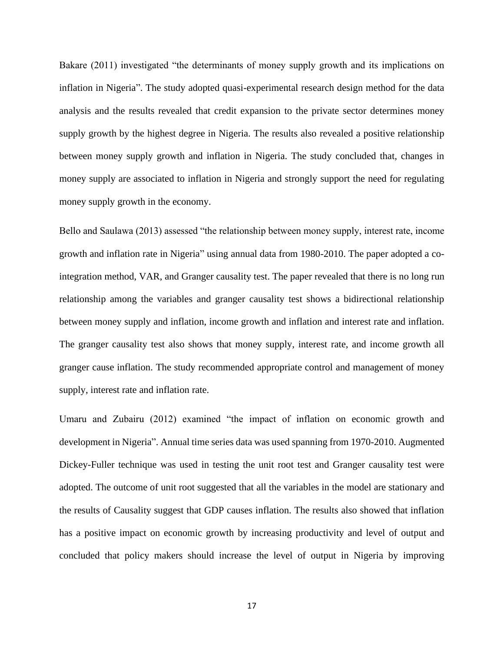Bakare (2011) investigated "the determinants of money supply growth and its implications on inflation in Nigeria". The study adopted quasi-experimental research design method for the data analysis and the results revealed that credit expansion to the private sector determines money supply growth by the highest degree in Nigeria. The results also revealed a positive relationship between money supply growth and inflation in Nigeria. The study concluded that, changes in money supply are associated to inflation in Nigeria and strongly support the need for regulating money supply growth in the economy.

Bello and Saulawa (2013) assessed "the relationship between money supply, interest rate, income growth and inflation rate in Nigeria" using annual data from 1980-2010. The paper adopted a cointegration method, VAR, and Granger causality test. The paper revealed that there is no long run relationship among the variables and granger causality test shows a bidirectional relationship between money supply and inflation, income growth and inflation and interest rate and inflation. The granger causality test also shows that money supply, interest rate, and income growth all granger cause inflation. The study recommended appropriate control and management of money supply, interest rate and inflation rate.

Umaru and Zubairu (2012) examined "the impact of inflation on economic growth and development in Nigeria". Annual time series data was used spanning from 1970-2010. Augmented Dickey-Fuller technique was used in testing the unit root test and Granger causality test were adopted. The outcome of unit root suggested that all the variables in the model are stationary and the results of Causality suggest that GDP causes inflation. The results also showed that inflation has a positive impact on economic growth by increasing productivity and level of output and concluded that policy makers should increase the level of output in Nigeria by improving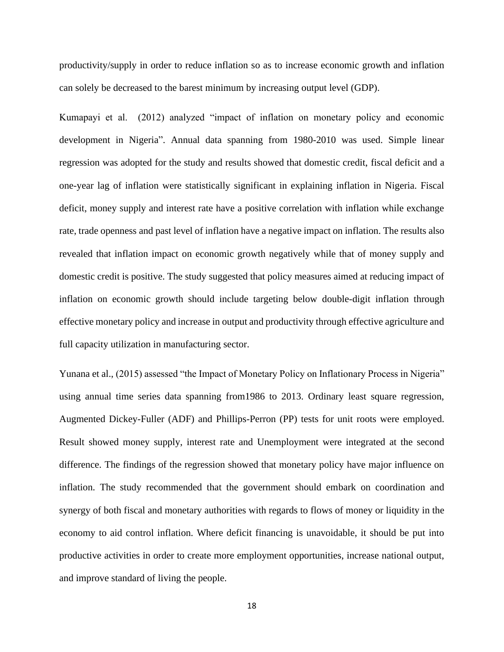productivity/supply in order to reduce inflation so as to increase economic growth and inflation can solely be decreased to the barest minimum by increasing output level (GDP).

Kumapayi et al. (2012) analyzed "impact of inflation on monetary policy and economic development in Nigeria". Annual data spanning from 1980-2010 was used. Simple linear regression was adopted for the study and results showed that domestic credit, fiscal deficit and a one-year lag of inflation were statistically significant in explaining inflation in Nigeria. Fiscal deficit, money supply and interest rate have a positive correlation with inflation while exchange rate, trade openness and past level of inflation have a negative impact on inflation. The results also revealed that inflation impact on economic growth negatively while that of money supply and domestic credit is positive. The study suggested that policy measures aimed at reducing impact of inflation on economic growth should include targeting below double-digit inflation through effective monetary policy and increase in output and productivity through effective agriculture and full capacity utilization in manufacturing sector.

Yunana et al., (2015) assessed "the Impact of Monetary Policy on Inflationary Process in Nigeria" using annual time series data spanning from1986 to 2013. Ordinary least square regression, Augmented Dickey-Fuller (ADF) and Phillips-Perron (PP) tests for unit roots were employed. Result showed money supply, interest rate and Unemployment were integrated at the second difference. The findings of the regression showed that monetary policy have major influence on inflation. The study recommended that the government should embark on coordination and synergy of both fiscal and monetary authorities with regards to flows of money or liquidity in the economy to aid control inflation. Where deficit financing is unavoidable, it should be put into productive activities in order to create more employment opportunities, increase national output, and improve standard of living the people.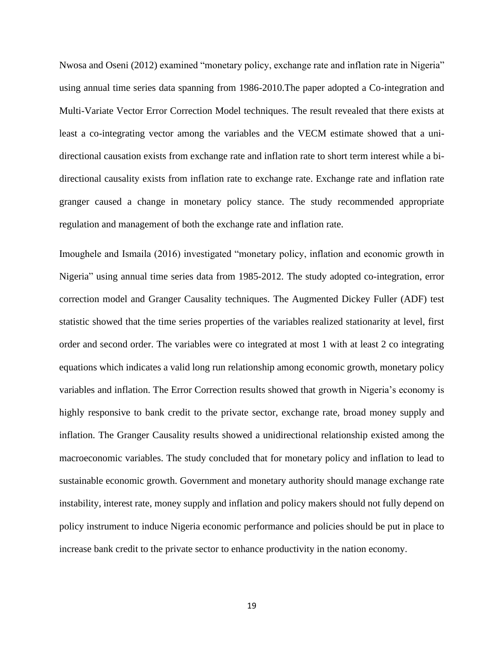Nwosa and Oseni (2012) examined "monetary policy, exchange rate and inflation rate in Nigeria" using annual time series data spanning from 1986-2010.The paper adopted a Co-integration and Multi-Variate Vector Error Correction Model techniques. The result revealed that there exists at least a co-integrating vector among the variables and the VECM estimate showed that a unidirectional causation exists from exchange rate and inflation rate to short term interest while a bidirectional causality exists from inflation rate to exchange rate. Exchange rate and inflation rate granger caused a change in monetary policy stance. The study recommended appropriate regulation and management of both the exchange rate and inflation rate.

Imoughele and Ismaila (2016) investigated "monetary policy, inflation and economic growth in Nigeria" using annual time series data from 1985-2012. The study adopted co-integration, error correction model and Granger Causality techniques. The Augmented Dickey Fuller (ADF) test statistic showed that the time series properties of the variables realized stationarity at level, first order and second order. The variables were co integrated at most 1 with at least 2 co integrating equations which indicates a valid long run relationship among economic growth, monetary policy variables and inflation. The Error Correction results showed that growth in Nigeria's economy is highly responsive to bank credit to the private sector, exchange rate, broad money supply and inflation. The Granger Causality results showed a unidirectional relationship existed among the macroeconomic variables. The study concluded that for monetary policy and inflation to lead to sustainable economic growth. Government and monetary authority should manage exchange rate instability, interest rate, money supply and inflation and policy makers should not fully depend on policy instrument to induce Nigeria economic performance and policies should be put in place to increase bank credit to the private sector to enhance productivity in the nation economy.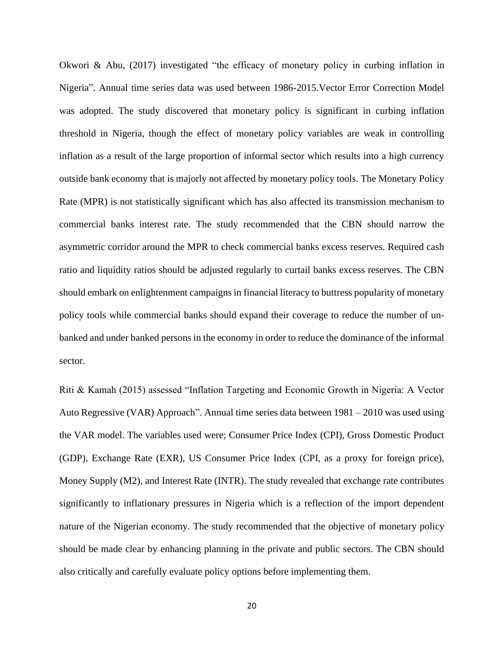Okwori & Abu, (2017) investigated "the efficacy of monetary policy in curbing inflation in Nigeria". Annual time series data was used between 1986-2015.Vector Error Correction Model was adopted. The study discovered that monetary policy is significant in curbing inflation threshold in Nigeria, though the effect of monetary policy variables are weak in controlling inflation as a result of the large proportion of informal sector which results into a high currency outside bank economy that is majorly not affected by monetary policy tools. The Monetary Policy Rate (MPR) is not statistically significant which has also affected its transmission mechanism to commercial banks interest rate. The study recommended that the CBN should narrow the asymmetric corridor around the MPR to check commercial banks excess reserves. Required cash ratio and liquidity ratios should be adjusted regularly to curtail banks excess reserves. The CBN should embark on enlightenment campaigns in financial literacy to buttress popularity of monetary policy tools while commercial banks should expand their coverage to reduce the number of unbanked and under banked persons in the economy in order to reduce the dominance of the informal sector.

Riti & Kamah (2015) assessed "Inflation Targeting and Economic Growth in Nigeria: A Vector Auto Regressive (VAR) Approach". Annual time series data between 1981 – 2010 was used using the VAR model. The variables used were; Consumer Price Index (CPI), Gross Domestic Product (GDP), Exchange Rate (EXR), US Consumer Price Index (CPI, as a proxy for foreign price), Money Supply (M2), and Interest Rate (INTR). The study revealed that exchange rate contributes significantly to inflationary pressures in Nigeria which is a reflection of the import dependent nature of the Nigerian economy. The study recommended that the objective of monetary policy should be made clear by enhancing planning in the private and public sectors. The CBN should also critically and carefully evaluate policy options before implementing them.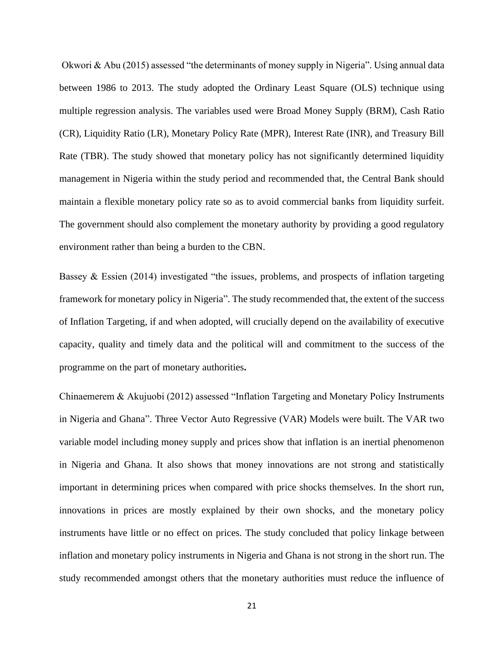Okwori & Abu (2015) assessed "the determinants of money supply in Nigeria". Using annual data between 1986 to 2013. The study adopted the Ordinary Least Square (OLS) technique using multiple regression analysis. The variables used were Broad Money Supply (BRM), Cash Ratio (CR), Liquidity Ratio (LR), Monetary Policy Rate (MPR), Interest Rate (INR), and Treasury Bill Rate (TBR). The study showed that monetary policy has not significantly determined liquidity management in Nigeria within the study period and recommended that, the Central Bank should maintain a flexible monetary policy rate so as to avoid commercial banks from liquidity surfeit. The government should also complement the monetary authority by providing a good regulatory environment rather than being a burden to the CBN.

Bassey & Essien (2014) investigated "the issues, problems, and prospects of inflation targeting framework for monetary policy in Nigeria". The study recommended that, the extent of the success of Inflation Targeting, if and when adopted, will crucially depend on the availability of executive capacity, quality and timely data and the political will and commitment to the success of the programme on the part of monetary authorities**.**

Chinaemerem & Akujuobi (2012) assessed "Inflation Targeting and Monetary Policy Instruments in Nigeria and Ghana". Three Vector Auto Regressive (VAR) Models were built. The VAR two variable model including money supply and prices show that inflation is an inertial phenomenon in Nigeria and Ghana. It also shows that money innovations are not strong and statistically important in determining prices when compared with price shocks themselves. In the short run, innovations in prices are mostly explained by their own shocks, and the monetary policy instruments have little or no effect on prices. The study concluded that policy linkage between inflation and monetary policy instruments in Nigeria and Ghana is not strong in the short run. The study recommended amongst others that the monetary authorities must reduce the influence of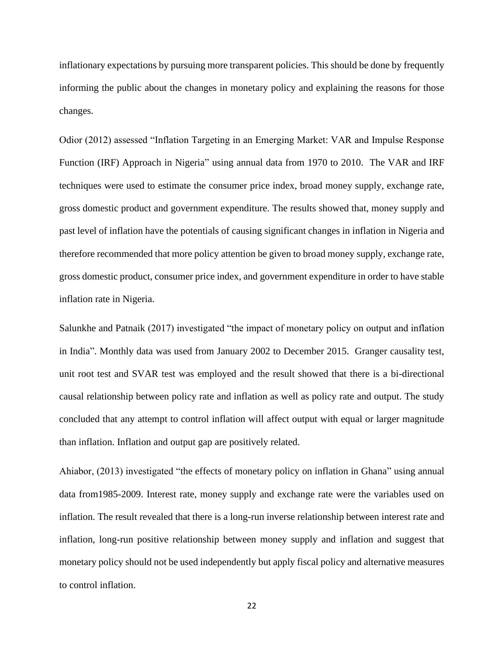inflationary expectations by pursuing more transparent policies. This should be done by frequently informing the public about the changes in monetary policy and explaining the reasons for those changes.

Odior (2012) assessed "Inflation Targeting in an Emerging Market: VAR and Impulse Response Function (IRF) Approach in Nigeria" using annual data from 1970 to 2010. The VAR and IRF techniques were used to estimate the consumer price index, broad money supply, exchange rate, gross domestic product and government expenditure. The results showed that, money supply and past level of inflation have the potentials of causing significant changes in inflation in Nigeria and therefore recommended that more policy attention be given to broad money supply, exchange rate, gross domestic product, consumer price index, and government expenditure in order to have stable inflation rate in Nigeria.

Salunkhe and Patnaik (2017) investigated "the impact of monetary policy on output and inflation in India". Monthly data was used from January 2002 to December 2015. Granger causality test, unit root test and SVAR test was employed and the result showed that there is a bi-directional causal relationship between policy rate and inflation as well as policy rate and output. The study concluded that any attempt to control inflation will affect output with equal or larger magnitude than inflation. Inflation and output gap are positively related.

Ahiabor, (2013) investigated "the effects of monetary policy on inflation in Ghana" using annual data from1985-2009. Interest rate, money supply and exchange rate were the variables used on inflation. The result revealed that there is a long-run inverse relationship between interest rate and inflation, long-run positive relationship between money supply and inflation and suggest that monetary policy should not be used independently but apply fiscal policy and alternative measures to control inflation.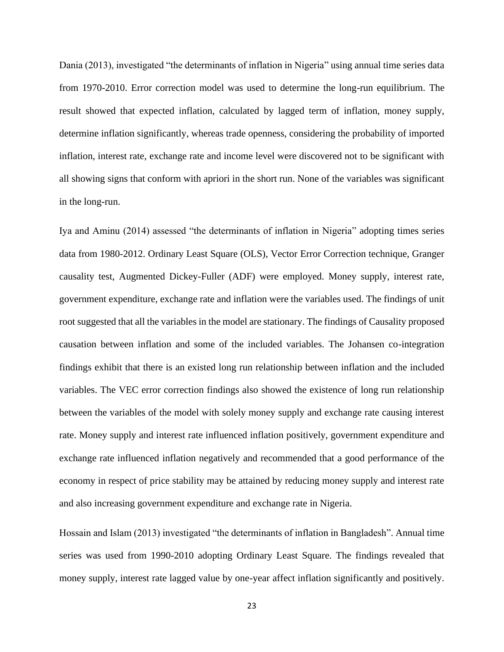Dania (2013), investigated "the determinants of inflation in Nigeria" using annual time series data from 1970-2010. Error correction model was used to determine the long-run equilibrium. The result showed that expected inflation, calculated by lagged term of inflation, money supply, determine inflation significantly, whereas trade openness, considering the probability of imported inflation, interest rate, exchange rate and income level were discovered not to be significant with all showing signs that conform with apriori in the short run. None of the variables was significant in the long-run.

Iya and Aminu (2014) assessed "the determinants of inflation in Nigeria" adopting times series data from 1980-2012. Ordinary Least Square (OLS), Vector Error Correction technique, Granger causality test, Augmented Dickey-Fuller (ADF) were employed. Money supply, interest rate, government expenditure, exchange rate and inflation were the variables used. The findings of unit root suggested that all the variables in the model are stationary. The findings of Causality proposed causation between inflation and some of the included variables. The Johansen co-integration findings exhibit that there is an existed long run relationship between inflation and the included variables. The VEC error correction findings also showed the existence of long run relationship between the variables of the model with solely money supply and exchange rate causing interest rate. Money supply and interest rate influenced inflation positively, government expenditure and exchange rate influenced inflation negatively and recommended that a good performance of the economy in respect of price stability may be attained by reducing money supply and interest rate and also increasing government expenditure and exchange rate in Nigeria.

Hossain and Islam (2013) investigated "the determinants of inflation in Bangladesh". Annual time series was used from 1990-2010 adopting Ordinary Least Square. The findings revealed that money supply, interest rate lagged value by one-year affect inflation significantly and positively.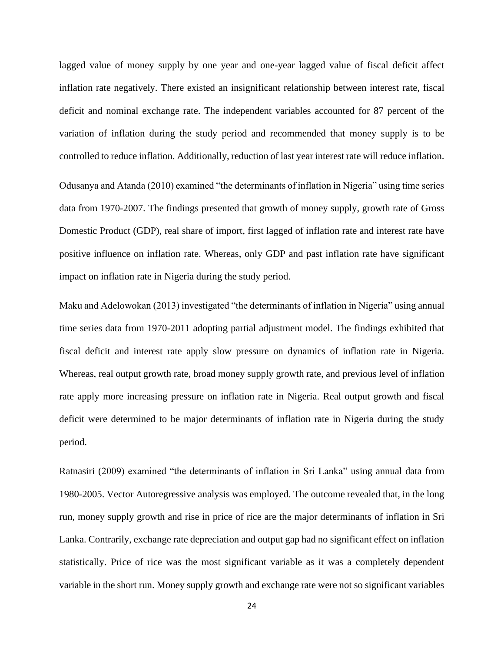lagged value of money supply by one year and one-year lagged value of fiscal deficit affect inflation rate negatively. There existed an insignificant relationship between interest rate, fiscal deficit and nominal exchange rate. The independent variables accounted for 87 percent of the variation of inflation during the study period and recommended that money supply is to be controlled to reduce inflation. Additionally, reduction of last year interest rate will reduce inflation.

Odusanya and Atanda (2010) examined "the determinants of inflation in Nigeria" using time series data from 1970-2007. The findings presented that growth of money supply, growth rate of Gross Domestic Product (GDP), real share of import, first lagged of inflation rate and interest rate have positive influence on inflation rate. Whereas, only GDP and past inflation rate have significant impact on inflation rate in Nigeria during the study period.

Maku and Adelowokan (2013) investigated "the determinants of inflation in Nigeria" using annual time series data from 1970-2011 adopting partial adjustment model. The findings exhibited that fiscal deficit and interest rate apply slow pressure on dynamics of inflation rate in Nigeria. Whereas, real output growth rate, broad money supply growth rate, and previous level of inflation rate apply more increasing pressure on inflation rate in Nigeria. Real output growth and fiscal deficit were determined to be major determinants of inflation rate in Nigeria during the study period.

Ratnasiri (2009) examined "the determinants of inflation in Sri Lanka" using annual data from 1980-2005. Vector Autoregressive analysis was employed. The outcome revealed that, in the long run, money supply growth and rise in price of rice are the major determinants of inflation in Sri Lanka. Contrarily, exchange rate depreciation and output gap had no significant effect on inflation statistically. Price of rice was the most significant variable as it was a completely dependent variable in the short run. Money supply growth and exchange rate were not so significant variables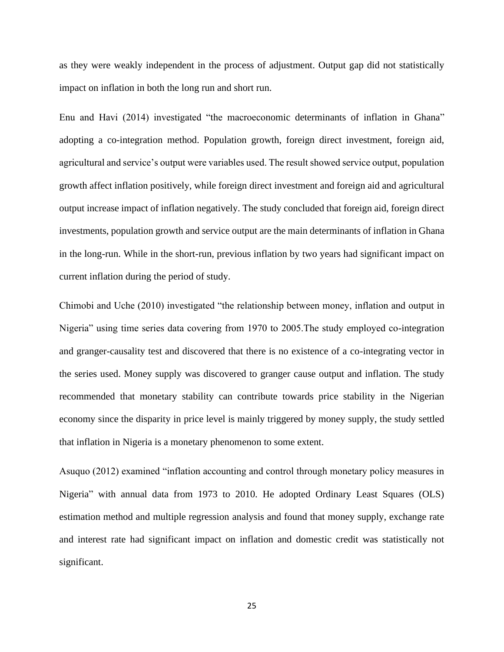as they were weakly independent in the process of adjustment. Output gap did not statistically impact on inflation in both the long run and short run.

Enu and Havi (2014) investigated "the macroeconomic determinants of inflation in Ghana" adopting a co-integration method. Population growth, foreign direct investment, foreign aid, agricultural and service's output were variables used. The result showed service output, population growth affect inflation positively, while foreign direct investment and foreign aid and agricultural output increase impact of inflation negatively. The study concluded that foreign aid, foreign direct investments, population growth and service output are the main determinants of inflation in Ghana in the long-run. While in the short-run, previous inflation by two years had significant impact on current inflation during the period of study.

Chimobi and Uche (2010) investigated "the relationship between money, inflation and output in Nigeria" using time series data covering from 1970 to 2005.The study employed co-integration and granger-causality test and discovered that there is no existence of a co-integrating vector in the series used. Money supply was discovered to granger cause output and inflation. The study recommended that monetary stability can contribute towards price stability in the Nigerian economy since the disparity in price level is mainly triggered by money supply, the study settled that inflation in Nigeria is a monetary phenomenon to some extent.

Asuquo (2012) examined "inflation accounting and control through monetary policy measures in Nigeria" with annual data from 1973 to 2010. He adopted Ordinary Least Squares (OLS) estimation method and multiple regression analysis and found that money supply, exchange rate and interest rate had significant impact on inflation and domestic credit was statistically not significant.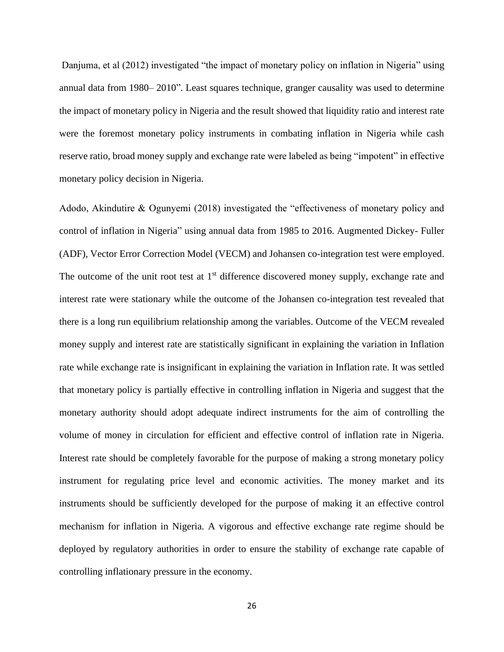Danjuma, et al (2012) investigated "the impact of monetary policy on inflation in Nigeria" using annual data from 1980– 2010". Least squares technique, granger causality was used to determine the impact of monetary policy in Nigeria and the result showed that liquidity ratio and interest rate were the foremost monetary policy instruments in combating inflation in Nigeria while cash reserve ratio, broad money supply and exchange rate were labeled as being "impotent" in effective monetary policy decision in Nigeria.

Adodo, Akindutire & Ogunyemi (2018) investigated the "effectiveness of monetary policy and control of inflation in Nigeria" using annual data from 1985 to 2016. Augmented Dickey- Fuller (ADF), Vector Error Correction Model (VECM) and Johansen co-integration test were employed. The outcome of the unit root test at  $1<sup>st</sup>$  difference discovered money supply, exchange rate and interest rate were stationary while the outcome of the Johansen co-integration test revealed that there is a long run equilibrium relationship among the variables. Outcome of the VECM revealed money supply and interest rate are statistically significant in explaining the variation in Inflation rate while exchange rate is insignificant in explaining the variation in Inflation rate. It was settled that monetary policy is partially effective in controlling inflation in Nigeria and suggest that the monetary authority should adopt adequate indirect instruments for the aim of controlling the volume of money in circulation for efficient and effective control of inflation rate in Nigeria. Interest rate should be completely favorable for the purpose of making a strong monetary policy instrument for regulating price level and economic activities. The money market and its instruments should be sufficiently developed for the purpose of making it an effective control mechanism for inflation in Nigeria. A vigorous and effective exchange rate regime should be deployed by regulatory authorities in order to ensure the stability of exchange rate capable of controlling inflationary pressure in the economy.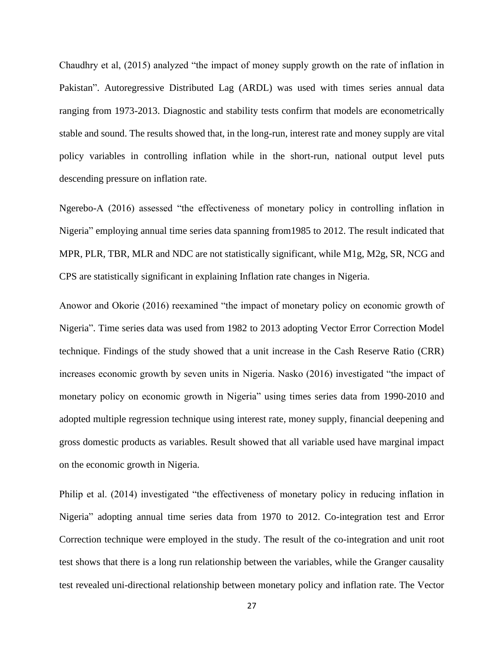Chaudhry et al, (2015) analyzed "the impact of money supply growth on the rate of inflation in Pakistan". Autoregressive Distributed Lag (ARDL) was used with times series annual data ranging from 1973-2013. Diagnostic and stability tests confirm that models are econometrically stable and sound. The results showed that, in the long-run, interest rate and money supply are vital policy variables in controlling inflation while in the short-run, national output level puts descending pressure on inflation rate.

Ngerebo-A (2016) assessed "the effectiveness of monetary policy in controlling inflation in Nigeria" employing annual time series data spanning from1985 to 2012. The result indicated that MPR, PLR, TBR, MLR and NDC are not statistically significant, while M1g, M2g, SR, NCG and CPS are statistically significant in explaining Inflation rate changes in Nigeria.

Anowor and Okorie (2016) reexamined "the impact of monetary policy on economic growth of Nigeria". Time series data was used from 1982 to 2013 adopting Vector Error Correction Model technique. Findings of the study showed that a unit increase in the Cash Reserve Ratio (CRR) increases economic growth by seven units in Nigeria. Nasko (2016) investigated "the impact of monetary policy on economic growth in Nigeria" using times series data from 1990-2010 and adopted multiple regression technique using interest rate, money supply, financial deepening and gross domestic products as variables. Result showed that all variable used have marginal impact on the economic growth in Nigeria.

Philip et al. (2014) investigated "the effectiveness of monetary policy in reducing inflation in Nigeria" adopting annual time series data from 1970 to 2012. Co-integration test and Error Correction technique were employed in the study. The result of the co-integration and unit root test shows that there is a long run relationship between the variables, while the Granger causality test revealed uni-directional relationship between monetary policy and inflation rate. The Vector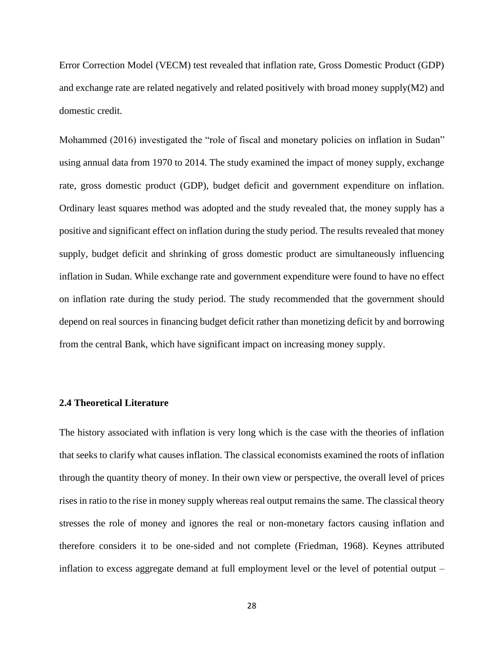Error Correction Model (VECM) test revealed that inflation rate, Gross Domestic Product (GDP) and exchange rate are related negatively and related positively with broad money supply(M2) and domestic credit.

Mohammed (2016) investigated the "role of fiscal and monetary policies on inflation in Sudan" using annual data from 1970 to 2014. The study examined the impact of money supply, exchange rate, gross domestic product (GDP), budget deficit and government expenditure on inflation. Ordinary least squares method was adopted and the study revealed that, the money supply has a positive and significant effect on inflation during the study period. The results revealed that money supply, budget deficit and shrinking of gross domestic product are simultaneously influencing inflation in Sudan. While exchange rate and government expenditure were found to have no effect on inflation rate during the study period. The study recommended that the government should depend on real sources in financing budget deficit rather than monetizing deficit by and borrowing from the central Bank, which have significant impact on increasing money supply.

## **2.4 Theoretical Literature**

The history associated with inflation is very long which is the case with the theories of inflation that seeks to clarify what causes inflation. The classical economists examined the roots of inflation through the quantity theory of money. In their own view or perspective, the overall level of prices rises in ratio to the rise in money supply whereas real output remains the same. The classical theory stresses the role of money and ignores the real or non-monetary factors causing inflation and therefore considers it to be one-sided and not complete (Friedman, 1968). Keynes attributed inflation to excess aggregate demand at full employment level or the level of potential output –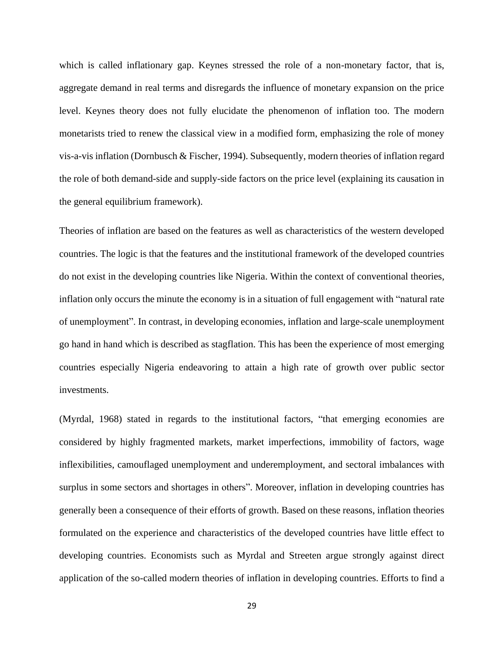which is called inflationary gap. Keynes stressed the role of a non-monetary factor, that is, aggregate demand in real terms and disregards the influence of monetary expansion on the price level. Keynes theory does not fully elucidate the phenomenon of inflation too. The modern monetarists tried to renew the classical view in a modified form, emphasizing the role of money vis-a-vis inflation (Dornbusch & Fischer, 1994). Subsequently, modern theories of inflation regard the role of both demand-side and supply-side factors on the price level (explaining its causation in the general equilibrium framework).

Theories of inflation are based on the features as well as characteristics of the western developed countries. The logic is that the features and the institutional framework of the developed countries do not exist in the developing countries like Nigeria. Within the context of conventional theories, inflation only occurs the minute the economy is in a situation of full engagement with "natural rate of unemployment". In contrast, in developing economies, inflation and large-scale unemployment go hand in hand which is described as stagflation. This has been the experience of most emerging countries especially Nigeria endeavoring to attain a high rate of growth over public sector investments.

(Myrdal, 1968) stated in regards to the institutional factors, "that emerging economies are considered by highly fragmented markets, market imperfections, immobility of factors, wage inflexibilities, camouflaged unemployment and underemployment, and sectoral imbalances with surplus in some sectors and shortages in others". Moreover, inflation in developing countries has generally been a consequence of their efforts of growth. Based on these reasons, inflation theories formulated on the experience and characteristics of the developed countries have little effect to developing countries. Economists such as Myrdal and Streeten argue strongly against direct application of the so-called modern theories of inflation in developing countries. Efforts to find a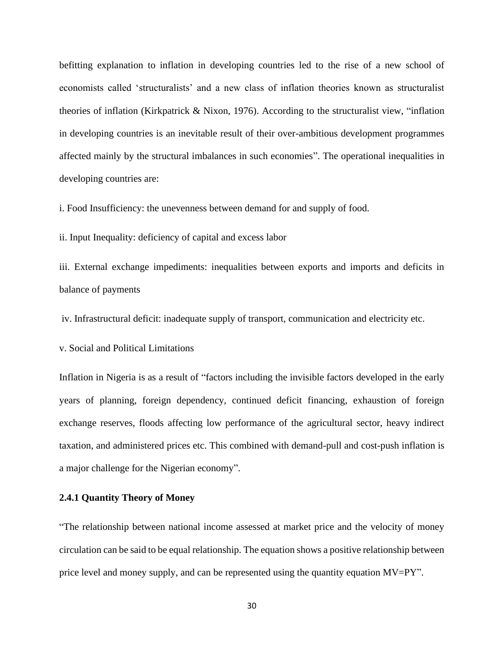befitting explanation to inflation in developing countries led to the rise of a new school of economists called 'structuralists' and a new class of inflation theories known as structuralist theories of inflation (Kirkpatrick & Nixon, 1976). According to the structuralist view, "inflation in developing countries is an inevitable result of their over-ambitious development programmes affected mainly by the structural imbalances in such economies". The operational inequalities in developing countries are:

i. Food Insufficiency: the unevenness between demand for and supply of food.

ii. Input Inequality: deficiency of capital and excess labor

iii. External exchange impediments: inequalities between exports and imports and deficits in balance of payments

iv. Infrastructural deficit: inadequate supply of transport, communication and electricity etc.

v. Social and Political Limitations

Inflation in Nigeria is as a result of "factors including the invisible factors developed in the early years of planning, foreign dependency, continued deficit financing, exhaustion of foreign exchange reserves, floods affecting low performance of the agricultural sector, heavy indirect taxation, and administered prices etc. This combined with demand-pull and cost-push inflation is a major challenge for the Nigerian economy".

## **2.4.1 Quantity Theory of Money**

"The relationship between national income assessed at market price and the velocity of money circulation can be said to be equal relationship. The equation shows a positive relationship between price level and money supply, and can be represented using the quantity equation MV=PY".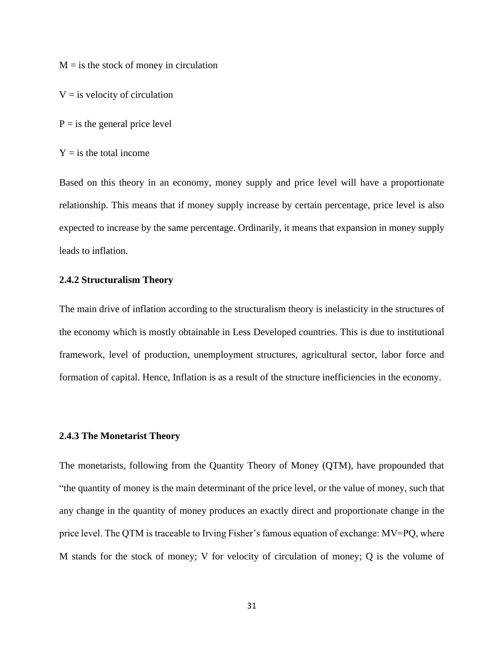$M = i$  s the stock of money in circulation

 $V = iS$  velocity of circulation

 $P = i s$  the general price level

 $Y =$  is the total income

Based on this theory in an economy, money supply and price level will have a proportionate relationship. This means that if money supply increase by certain percentage, price level is also expected to increase by the same percentage. Ordinarily, it means that expansion in money supply leads to inflation.

#### **2.4.2 Structuralism Theory**

The main drive of inflation according to the structuralism theory is inelasticity in the structures of the economy which is mostly obtainable in Less Developed countries. This is due to institutional framework, level of production, unemployment structures, agricultural sector, labor force and formation of capital. Hence, Inflation is as a result of the structure inefficiencies in the economy.

#### **2.4.3 The Monetarist Theory**

The monetarists, following from the Quantity Theory of Money (QTM), have propounded that "the quantity of money is the main determinant of the price level, or the value of money, such that any change in the quantity of money produces an exactly direct and proportionate change in the price level. The QTM is traceable to Irving Fisher's famous equation of exchange: MV=PQ, where M stands for the stock of money; V for velocity of circulation of money; Q is the volume of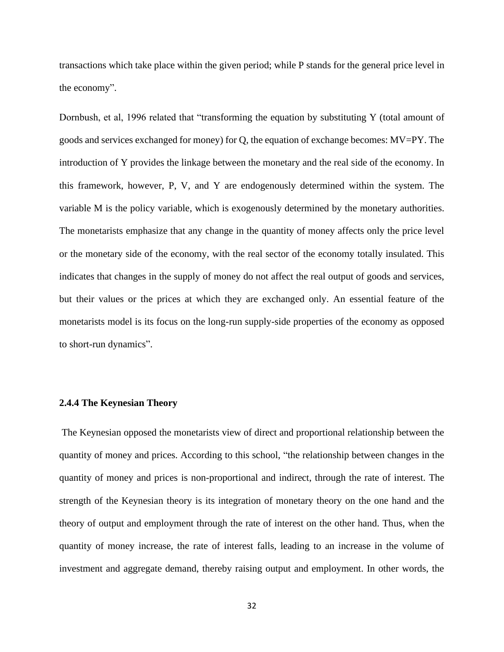transactions which take place within the given period; while P stands for the general price level in the economy".

Dornbush, et al, 1996 related that "transforming the equation by substituting Y (total amount of goods and services exchanged for money) for Q, the equation of exchange becomes: MV=PY. The introduction of Y provides the linkage between the monetary and the real side of the economy. In this framework, however, P, V, and Y are endogenously determined within the system. The variable M is the policy variable, which is exogenously determined by the monetary authorities. The monetarists emphasize that any change in the quantity of money affects only the price level or the monetary side of the economy, with the real sector of the economy totally insulated. This indicates that changes in the supply of money do not affect the real output of goods and services, but their values or the prices at which they are exchanged only. An essential feature of the monetarists model is its focus on the long-run supply-side properties of the economy as opposed to short-run dynamics".

## **2.4.4 The Keynesian Theory**

The Keynesian opposed the monetarists view of direct and proportional relationship between the quantity of money and prices. According to this school, "the relationship between changes in the quantity of money and prices is non-proportional and indirect, through the rate of interest. The strength of the Keynesian theory is its integration of monetary theory on the one hand and the theory of output and employment through the rate of interest on the other hand. Thus, when the quantity of money increase, the rate of interest falls, leading to an increase in the volume of investment and aggregate demand, thereby raising output and employment. In other words, the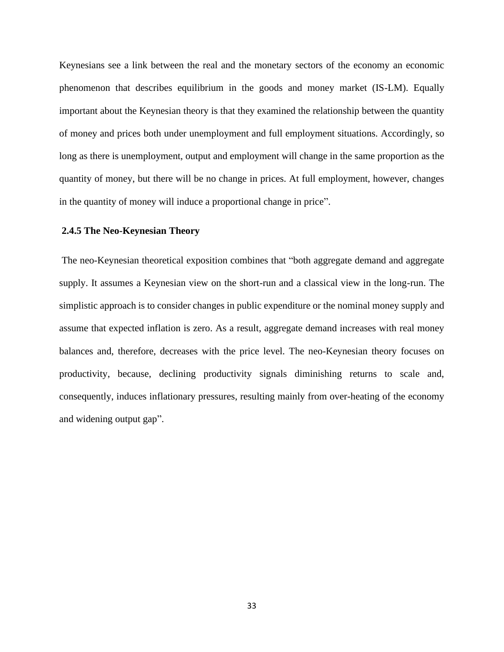Keynesians see a link between the real and the monetary sectors of the economy an economic phenomenon that describes equilibrium in the goods and money market (IS-LM). Equally important about the Keynesian theory is that they examined the relationship between the quantity of money and prices both under unemployment and full employment situations. Accordingly, so long as there is unemployment, output and employment will change in the same proportion as the quantity of money, but there will be no change in prices. At full employment, however, changes in the quantity of money will induce a proportional change in price".

## **2.4.5 The Neo-Keynesian Theory**

The neo-Keynesian theoretical exposition combines that "both aggregate demand and aggregate supply. It assumes a Keynesian view on the short-run and a classical view in the long-run. The simplistic approach is to consider changes in public expenditure or the nominal money supply and assume that expected inflation is zero. As a result, aggregate demand increases with real money balances and, therefore, decreases with the price level. The neo-Keynesian theory focuses on productivity, because, declining productivity signals diminishing returns to scale and, consequently, induces inflationary pressures, resulting mainly from over-heating of the economy and widening output gap".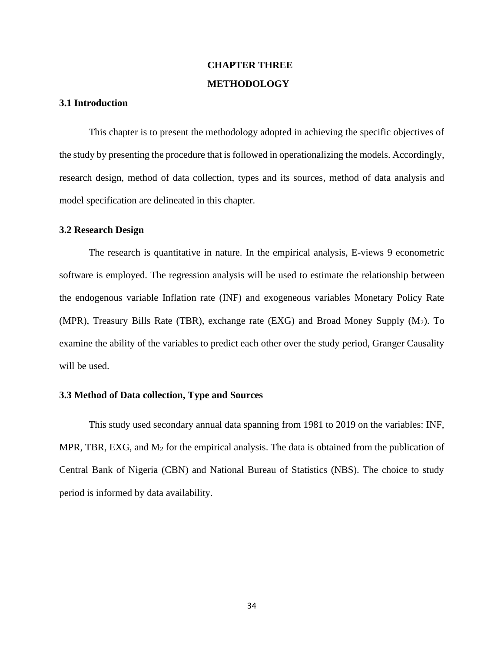# **CHAPTER THREE METHODOLOGY**

#### **3.1 Introduction**

This chapter is to present the methodology adopted in achieving the specific objectives of the study by presenting the procedure that is followed in operationalizing the models. Accordingly, research design, method of data collection, types and its sources, method of data analysis and model specification are delineated in this chapter.

#### **3.2 Research Design**

The research is quantitative in nature. In the empirical analysis, E-views 9 econometric software is employed. The regression analysis will be used to estimate the relationship between the endogenous variable Inflation rate (INF) and exogeneous variables Monetary Policy Rate (MPR), Treasury Bills Rate (TBR), exchange rate (EXG) and Broad Money Supply  $(M_2)$ . To examine the ability of the variables to predict each other over the study period, Granger Causality will be used.

#### **3.3 Method of Data collection, Type and Sources**

This study used secondary annual data spanning from 1981 to 2019 on the variables: INF, MPR, TBR, EXG, and  $M_2$  for the empirical analysis. The data is obtained from the publication of Central Bank of Nigeria (CBN) and National Bureau of Statistics (NBS). The choice to study period is informed by data availability.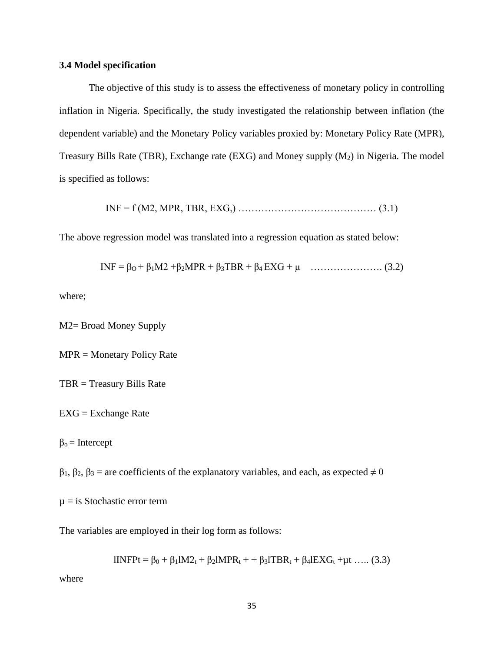### **3.4 Model specification**

The objective of this study is to assess the effectiveness of monetary policy in controlling inflation in Nigeria. Specifically, the study investigated the relationship between inflation (the dependent variable) and the Monetary Policy variables proxied by: Monetary Policy Rate (MPR), Treasury Bills Rate (TBR), Exchange rate (EXG) and Money supply  $(M_2)$  in Nigeria. The model is specified as follows:

INF = f (M2, MPR, TBR, EXG,) …………………………………… (3.1)

The above regression model was translated into a regression equation as stated below:

INF = β<sub>O</sub> + β<sub>1</sub>M2 + β<sub>2</sub>MPR + β<sub>3</sub>TBR + β<sub>4</sub> EXG + μ …………………. (3.2)

where;

M2= Broad Money Supply

MPR = Monetary Policy Rate

TBR = Treasury Bills Rate

 $EXG = Exchange Rate$ 

 $\beta_0$  = Intercept

 $β<sub>1</sub>, β<sub>2</sub>, β<sub>3</sub> =$  are coefficients of the explanatory variables, and each, as expected  $\neq 0$ 

 $\mu$  = is Stochastic error term

The variables are employed in their log form as follows:

lINFPt = β<sub>0</sub> + β<sub>1</sub>lM2<sub>t</sub> + β<sub>2</sub>lMPR<sub>t</sub> + + β<sub>3</sub>lTBR<sub>t</sub> + β<sub>4</sub>lEXG<sub>t</sub> +μt ….. (3.3)

where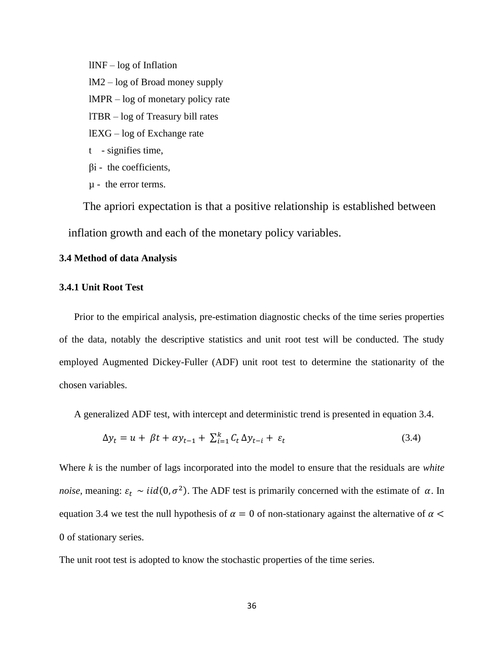lINF – log of Inflation

- lM2 log of Broad money supply
- lMPR log of monetary policy rate
- lTBR log of Treasury bill rates
- lEXG log of Exchange rate
- t signifies time,
- $\beta$ i the coefficients,
- µ the error terms.

The apriori expectation is that a positive relationship is established between inflation growth and each of the monetary policy variables.

## **3.4 Method of data Analysis**

## **3.4.1 Unit Root Test**

Prior to the empirical analysis, pre-estimation diagnostic checks of the time series properties of the data, notably the descriptive statistics and unit root test will be conducted. The study employed Augmented Dickey-Fuller (ADF) unit root test to determine the stationarity of the chosen variables.

A generalized ADF test, with intercept and deterministic trend is presented in equation 3.4.

$$
\Delta y_t = u + \beta t + \alpha y_{t-1} + \sum_{i=1}^k C_t \Delta y_{t-i} + \varepsilon_t \tag{3.4}
$$

Where *k* is the number of lags incorporated into the model to ensure that the residuals are *white noise*, meaning:  $\varepsilon_t \sim \text{iid}(0, \sigma^2)$ . The ADF test is primarily concerned with the estimate of  $\alpha$ . In equation 3.4 we test the null hypothesis of  $\alpha = 0$  of non-stationary against the alternative of  $\alpha$  < 0 of stationary series.

The unit root test is adopted to know the stochastic properties of the time series.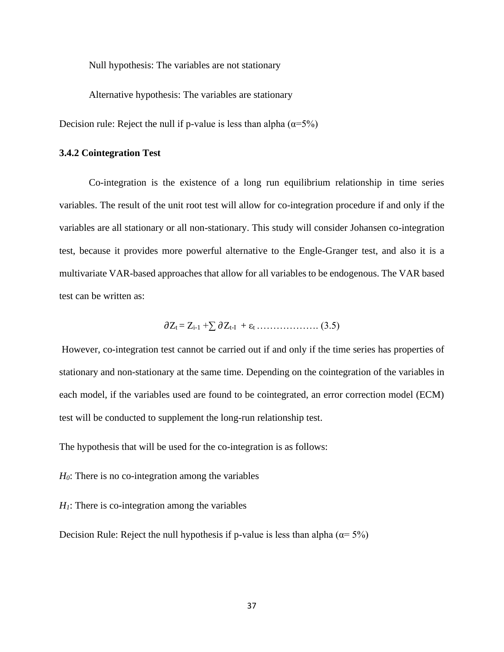Null hypothesis: The variables are not stationary

Alternative hypothesis: The variables are stationary

Decision rule: Reject the null if p-value is less than alpha  $(\alpha = 5\%)$ 

#### **3.4.2 Cointegration Test**

Co-integration is the existence of a long run equilibrium relationship in time series variables. The result of the unit root test will allow for co-integration procedure if and only if the variables are all stationary or all non-stationary. This study will consider Johansen co-integration test, because it provides more powerful alternative to the Engle-Granger test, and also it is a multivariate VAR-based approaches that allow for all variables to be endogenous. The VAR based test can be written as:

Zt = Zi-1 +∑ Zt-I + ε<sup>t</sup> ………………. (3.5)

However, co-integration test cannot be carried out if and only if the time series has properties of stationary and non-stationary at the same time. Depending on the cointegration of the variables in each model, if the variables used are found to be cointegrated, an error correction model (ECM) test will be conducted to supplement the long-run relationship test.

The hypothesis that will be used for the co-integration is as follows:

*H0*: There is no co-integration among the variables

 $H<sub>1</sub>$ : There is co-integration among the variables

Decision Rule: Reject the null hypothesis if p-value is less than alpha ( $\alpha = 5\%$ )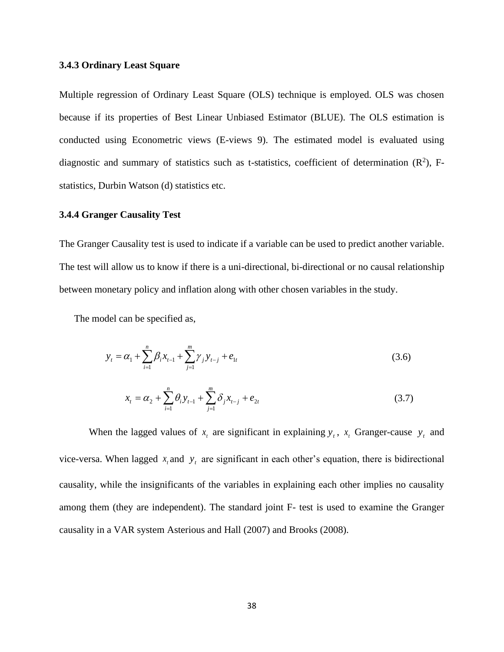#### **3.4.3 Ordinary Least Square**

Multiple regression of Ordinary Least Square (OLS) technique is employed. OLS was chosen because if its properties of Best Linear Unbiased Estimator (BLUE). The OLS estimation is conducted using Econometric views (E-views 9). The estimated model is evaluated using diagnostic and summary of statistics such as t-statistics, coefficient of determination  $(R^2)$ , Fstatistics, Durbin Watson (d) statistics etc.

## **3.4.4 Granger Causality Test**

The Granger Causality test is used to indicate if a variable can be used to predict another variable. The test will allow us to know if there is a uni-directional, bi-directional or no causal relationship between monetary policy and inflation along with other chosen variables in the study.

The model can be specified as,

$$
y_{t} = \alpha_{1} + \sum_{i=1}^{n} \beta_{i} x_{t-1} + \sum_{j=1}^{m} \gamma_{j} y_{t-j} + e_{1t}
$$
\n(3.6)

$$
x_{t} = \alpha_{2} + \sum_{i=1}^{n} \theta_{i} y_{t-1} + \sum_{j=1}^{m} \delta_{j} x_{t-j} + e_{2t}
$$
 (3.7)

When the lagged values of  $x_t$  are significant in explaining  $y_t$ ,  $x_t$  Granger-cause  $y_t$  and vice-versa. When lagged  $x_t$  and  $y_t$  are significant in each other's equation, there is bidirectional causality, while the insignificants of the variables in explaining each other implies no causality among them (they are independent). The standard joint F- test is used to examine the Granger causality in a VAR system Asterious and Hall (2007) and Brooks (2008).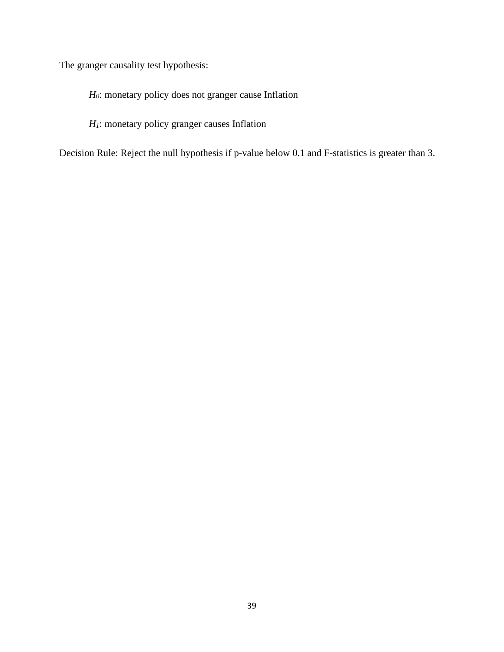The granger causality test hypothesis:

*H0*: monetary policy does not granger cause Inflation

*H1*: monetary policy granger causes Inflation

Decision Rule: Reject the null hypothesis if p-value below 0.1 and F-statistics is greater than 3.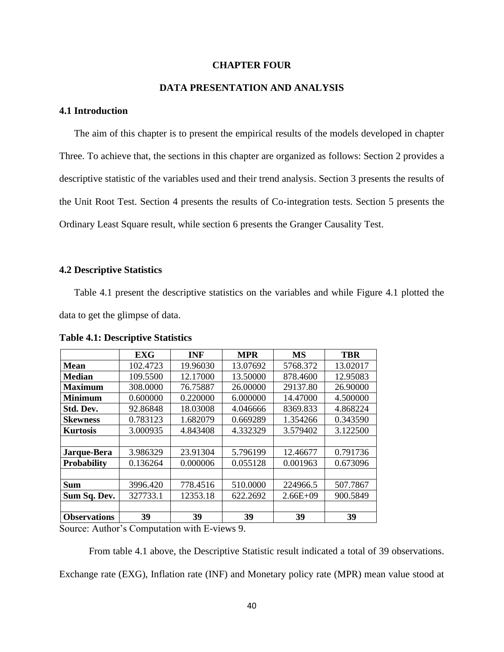### **CHAPTER FOUR**

## **DATA PRESENTATION AND ANALYSIS**

## **4.1 Introduction**

The aim of this chapter is to present the empirical results of the models developed in chapter Three. To achieve that, the sections in this chapter are organized as follows: Section 2 provides a descriptive statistic of the variables used and their trend analysis. Section 3 presents the results of the Unit Root Test. Section 4 presents the results of Co-integration tests. Section 5 presents the Ordinary Least Square result, while section 6 presents the Granger Causality Test.

#### **4.2 Descriptive Statistics**

Table 4.1 present the descriptive statistics on the variables and while Figure 4.1 plotted the data to get the glimpse of data.

|                     | <b>EXG</b> | <b>INF</b> | <b>MPR</b> | MS           | <b>TBR</b> |
|---------------------|------------|------------|------------|--------------|------------|
| Mean                | 102.4723   | 19.96030   | 13.07692   | 5768.372     | 13.02017   |
| <b>Median</b>       | 109.5500   | 12.17000   | 13.50000   | 878.4600     | 12.95083   |
| Maximum             | 308.0000   | 76.75887   | 26,00000   | 29137.80     | 26.90000   |
| <b>Minimum</b>      | 0.600000   | 0.220000   | 6.000000   | 14.47000     | 4.500000   |
| Std. Dev.           | 92.86848   | 18.03008   | 4.046666   | 8369.833     | 4.868224   |
| <b>Skewness</b>     | 0.783123   | 1.682079   | 0.669289   | 1.354266     | 0.343590   |
| <b>Kurtosis</b>     | 3.000935   | 4.843408   | 4.332329   | 3.579402     | 3.122500   |
|                     |            |            |            |              |            |
| Jarque-Bera         | 3.986329   | 23.91304   | 5.796199   | 12.46677     | 0.791736   |
| <b>Probability</b>  | 0.136264   | 0.000006   | 0.055128   | 0.001963     | 0.673096   |
|                     |            |            |            |              |            |
| Sum                 | 3996.420   | 778.4516   | 510.0000   | 224966.5     | 507.7867   |
| Sum Sq. Dev.        | 327733.1   | 12353.18   | 622.2692   | $2.66E + 09$ | 900.5849   |
|                     |            |            |            |              |            |
| <b>Observations</b> | 39         | 39         | 39         | 39           | 39         |

**Table 4.1: Descriptive Statistics**

Source: Author's Computation with E-views 9.

From table 4.1 above, the Descriptive Statistic result indicated a total of 39 observations. Exchange rate (EXG), Inflation rate (INF) and Monetary policy rate (MPR) mean value stood at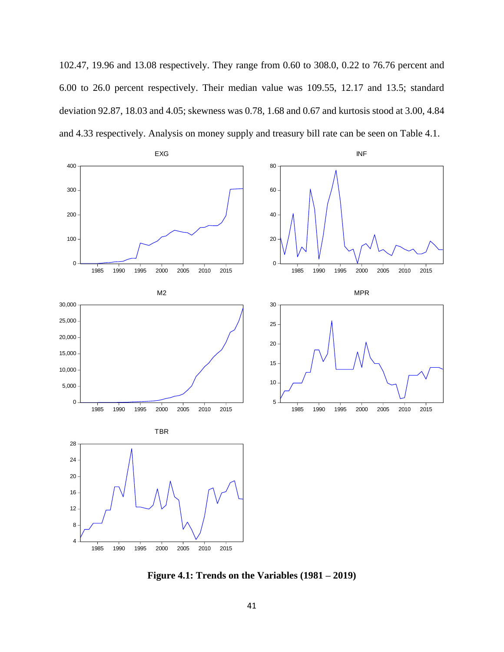102.47, 19.96 and 13.08 respectively. They range from 0.60 to 308.0, 0.22 to 76.76 percent and 6.00 to 26.0 percent respectively. Their median value was 109.55, 12.17 and 13.5; standard deviation 92.87, 18.03 and 4.05; skewness was 0.78, 1.68 and 0.67 and kurtosis stood at 3.00, 4.84 and 4.33 respectively. Analysis on money supply and treasury bill rate can be seen on Table 4.1.



**Figure 4.1: Trends on the Variables (1981 – 2019)**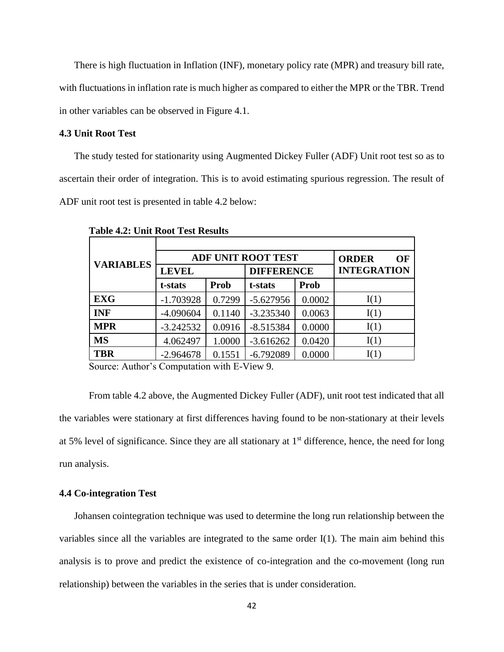There is high fluctuation in Inflation (INF), monetary policy rate (MPR) and treasury bill rate, with fluctuations in inflation rate is much higher as compared to either the MPR or the TBR. Trend in other variables can be observed in Figure 4.1.

#### **4.3 Unit Root Test**

The study tested for stationarity using Augmented Dickey Fuller (ADF) Unit root test so as to ascertain their order of integration. This is to avoid estimating spurious regression. The result of ADF unit root test is presented in table 4.2 below:

| <b>VARIABLES</b> | <b>ADF UNIT ROOT TEST</b> | <b>ORDER</b><br>OF |                   |        |                    |
|------------------|---------------------------|--------------------|-------------------|--------|--------------------|
|                  | <b>LEVEL</b>              |                    | <b>DIFFERENCE</b> |        | <b>INTEGRATION</b> |
|                  | t-stats                   | Prob               | t-stats           | Prob   |                    |
| <b>EXG</b>       | $-1.703928$               | 0.7299             | $-5.627956$       | 0.0002 | I(1)               |
| <b>INF</b>       | $-4.090604$               | 0.1140             | $-3.235340$       | 0.0063 | I(1)               |
| <b>MPR</b>       | $-3.242532$               | 0.0916             | $-8.515384$       | 0.0000 | I(1)               |
| <b>MS</b>        | 4.062497                  | 1.0000             | $-3.616262$       | 0.0420 | I(1)               |
| <b>TBR</b>       | $-2.964678$               | 0.1551             | $-6.792089$       | 0.0000 | I(1)               |

 **Table 4.2: Unit Root Test Results**

Source: Author's Computation with E-View 9.

From table 4.2 above, the Augmented Dickey Fuller (ADF), unit root test indicated that all the variables were stationary at first differences having found to be non-stationary at their levels at 5% level of significance. Since they are all stationary at 1st difference, hence, the need for long run analysis.

### **4.4 Co-integration Test**

Johansen cointegration technique was used to determine the long run relationship between the variables since all the variables are integrated to the same order I(1). The main aim behind this analysis is to prove and predict the existence of co-integration and the co-movement (long run relationship) between the variables in the series that is under consideration.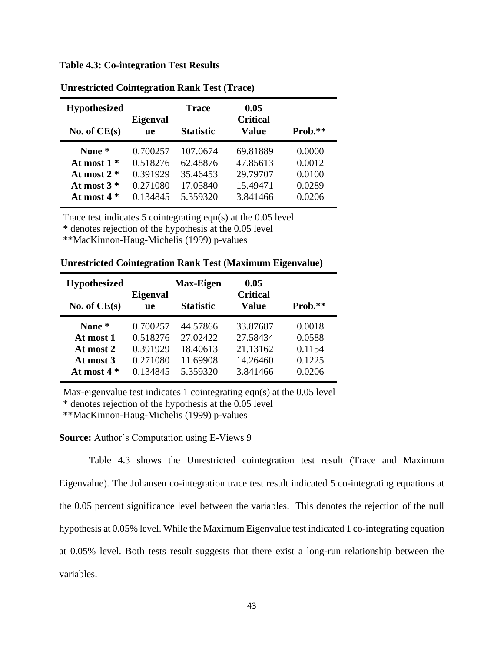**Table 4.3: Co-integration Test Results**

| <b>Hypothesized</b> | <b>Eigenval</b> | Trace            | 0.05<br><b>Critical</b> |           |
|---------------------|-----------------|------------------|-------------------------|-----------|
| No. of $CE(s)$      | <b>ue</b>       | <b>Statistic</b> | <b>Value</b>            | $Prob.**$ |
| None *              | 0.700257        | 107.0674         | 69.81889                | 0.0000    |
| At most $1*$        | 0.518276        | 62.48876         | 47.85613                | 0.0012    |
| At most $2 *$       | 0.391929        | 35.46453         | 29.79707                | 0.0100    |
| At most $3*$        | 0.271080        | 17.05840         | 15.49471                | 0.0289    |
| At most $4*$        | 0.134845        | 5.359320         | 3.841466                | 0.0206    |

**Unrestricted Cointegration Rank Test (Trace)**

Trace test indicates 5 cointegrating eqn(s) at the 0.05 level

\* denotes rejection of the hypothesis at the 0.05 level

\*\*MacKinnon-Haug-Michelis (1999) p-values

| <b>Hypothesized</b>                           |                                              | <b>Max-Eigen</b>                             | 0.05                                         |                                      |
|-----------------------------------------------|----------------------------------------------|----------------------------------------------|----------------------------------------------|--------------------------------------|
| No. of $CE(s)$                                | <b>Eigenval</b><br><b>ue</b>                 | <b>Statistic</b>                             | <b>Critical</b><br><b>Value</b>              | Prob.**                              |
| None *<br>At most 1<br>At most 2<br>At most 3 | 0.700257<br>0.518276<br>0.391929<br>0.271080 | 44.57866<br>27.02422<br>18.40613<br>11.69908 | 33.87687<br>27.58434<br>21.13162<br>14.26460 | 0.0018<br>0.0588<br>0.1154<br>0.1225 |
| At most $4*$                                  | 0.134845                                     | 5.359320                                     | 3.841466                                     | 0.0206                               |

**Unrestricted Cointegration Rank Test (Maximum Eigenvalue)**

Max-eigenvalue test indicates 1 cointegrating eqn(s) at the 0.05 level \* denotes rejection of the hypothesis at the 0.05 level

\*\*MacKinnon-Haug-Michelis (1999) p-values

**Source:** Author's Computation using E-Views 9

Table 4.3 shows the Unrestricted cointegration test result (Trace and Maximum Eigenvalue). The Johansen co-integration trace test result indicated 5 co-integrating equations at the 0.05 percent significance level between the variables. This denotes the rejection of the null hypothesis at 0.05% level. While the Maximum Eigenvalue test indicated 1 co-integrating equation at 0.05% level. Both tests result suggests that there exist a long-run relationship between the variables.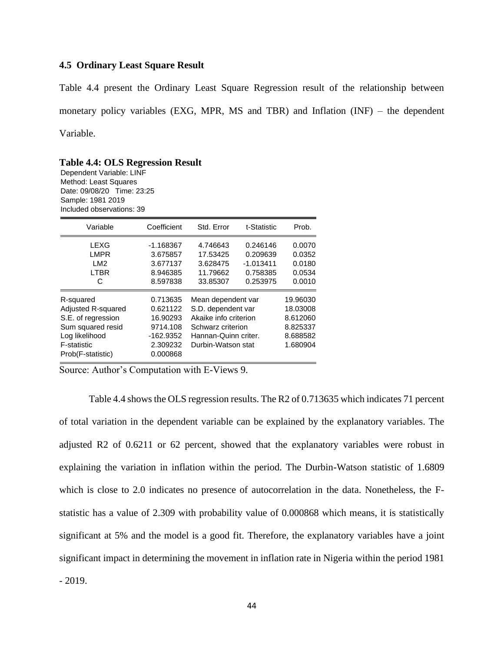### **4.5 Ordinary Least Square Result**

Table 4.4 present the Ordinary Least Square Regression result of the relationship between monetary policy variables (EXG, MPR, MS and TBR) and Inflation (INF) – the dependent Variable.

**Table 4.4: OLS Regression Result** Dependent Variable: LINF Method: Least Squares Date: 09/08/20 Time: 23:25 Sample: 1981 2019 Included observations: 39

| Variable                                                                                                                         | Coefficient                                                                         | Std. Error                                                                                                                           | t-Statistic          | Prob.                                                                |
|----------------------------------------------------------------------------------------------------------------------------------|-------------------------------------------------------------------------------------|--------------------------------------------------------------------------------------------------------------------------------------|----------------------|----------------------------------------------------------------------|
| LEXG<br><b>LMPR</b>                                                                                                              | $-1.168367$<br>3.675857                                                             | 4.746643<br>17.53425                                                                                                                 | 0.246146<br>0.209639 | 0.0070                                                               |
| LM <sub>2</sub>                                                                                                                  | 3.677137                                                                            | 3.628475                                                                                                                             | $-1.013411$          | 0.0352<br>0.0180                                                     |
| <b>LTBR</b><br>C                                                                                                                 | 8.946385<br>8.597838                                                                | 11.79662<br>33.85307                                                                                                                 | 0.758385<br>0.253975 | 0.0534<br>0.0010                                                     |
| R-squared<br>Adjusted R-squared<br>S.E. of regression<br>Sum squared resid<br>Log likelihood<br>F-statistic<br>Prob(F-statistic) | 0.713635<br>0.621122<br>16.90293<br>9714.108<br>$-162.9352$<br>2.309232<br>0.000868 | Mean dependent var<br>S.D. dependent var<br>Akaike info criterion<br>Schwarz criterion<br>Hannan-Quinn criter.<br>Durbin-Watson stat |                      | 19.96030<br>18.03008<br>8.612060<br>8.825337<br>8.688582<br>1.680904 |

Source: Author's Computation with E-Views 9.

Table 4.4 shows the OLS regression results. The R2 of 0.713635 which indicates 71 percent of total variation in the dependent variable can be explained by the explanatory variables. The adjusted R2 of 0.6211 or 62 percent, showed that the explanatory variables were robust in explaining the variation in inflation within the period. The Durbin-Watson statistic of 1.6809 which is close to 2.0 indicates no presence of autocorrelation in the data. Nonetheless, the Fstatistic has a value of 2.309 with probability value of 0.000868 which means, it is statistically significant at 5% and the model is a good fit. Therefore, the explanatory variables have a joint significant impact in determining the movement in inflation rate in Nigeria within the period 1981 - 2019.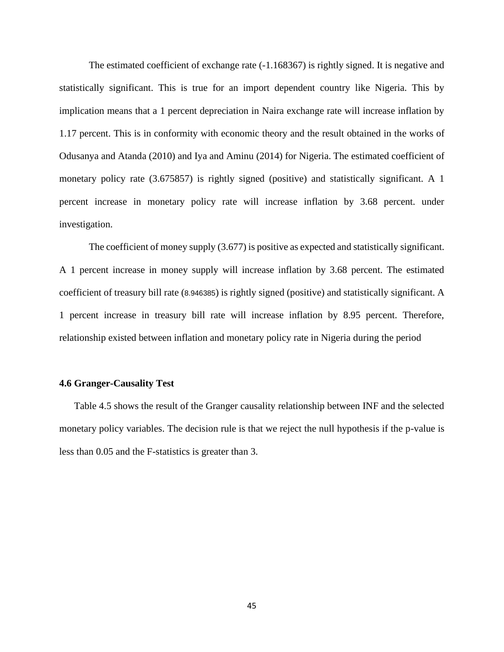The estimated coefficient of exchange rate (-1.168367) is rightly signed. It is negative and statistically significant. This is true for an import dependent country like Nigeria. This by implication means that a 1 percent depreciation in Naira exchange rate will increase inflation by 1.17 percent. This is in conformity with economic theory and the result obtained in the works of Odusanya and Atanda (2010) and Iya and Aminu (2014) for Nigeria. The estimated coefficient of monetary policy rate (3.675857) is rightly signed (positive) and statistically significant. A 1 percent increase in monetary policy rate will increase inflation by 3.68 percent. under investigation.

The coefficient of money supply (3.677) is positive as expected and statistically significant. A 1 percent increase in money supply will increase inflation by 3.68 percent. The estimated coefficient of treasury bill rate (8.946385) is rightly signed (positive) and statistically significant. A 1 percent increase in treasury bill rate will increase inflation by 8.95 percent. Therefore, relationship existed between inflation and monetary policy rate in Nigeria during the period

#### **4.6 Granger-Causality Test**

Table 4.5 shows the result of the Granger causality relationship between INF and the selected monetary policy variables. The decision rule is that we reject the null hypothesis if the p-value is less than 0.05 and the F-statistics is greater than 3.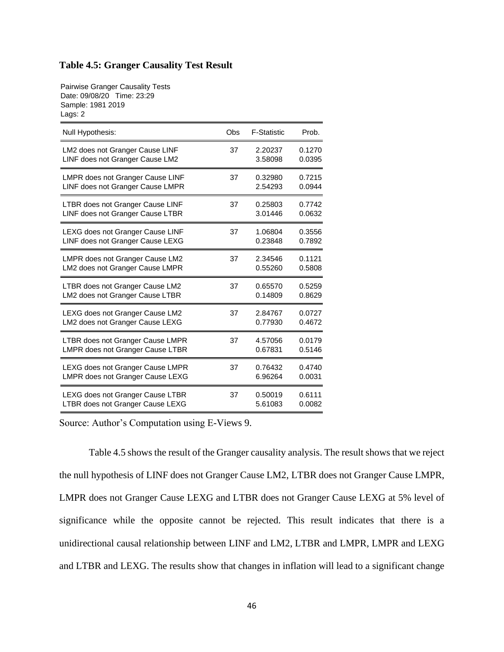## **Table 4.5: Granger Causality Test Result**

Pairwise Granger Causality Tests Date: 09/08/20 Time: 23:29 Sample: 1981 2019 Lags: 2

| Null Hypothesis:                 | Obs | <b>F-Statistic</b> | Prob.  |
|----------------------------------|-----|--------------------|--------|
| LM2 does not Granger Cause LINF  | 37  | 2.20237            | 0.1270 |
| LINF does not Granger Cause LM2  |     | 3.58098            | 0.0395 |
| LMPR does not Granger Cause LINF | 37  | 0.32980            | 0.7215 |
| LINF does not Granger Cause LMPR |     | 2.54293            | 0.0944 |
| LTBR does not Granger Cause LINF | 37  | 0.25803            | 0.7742 |
| LINF does not Granger Cause LTBR |     | 3.01446            | 0.0632 |
| LEXG does not Granger Cause LINF | 37  | 1.06804            | 0.3556 |
| LINF does not Granger Cause LEXG |     | 0.23848            | 0.7892 |
| LMPR does not Granger Cause LM2  | 37  | 2.34546            | 0.1121 |
| LM2 does not Granger Cause LMPR  |     | 0.55260            | 0.5808 |
| LTBR does not Granger Cause LM2  | 37  | 0.65570            | 0.5259 |
| LM2 does not Granger Cause LTBR  |     | 0.14809            | 0.8629 |
| LEXG does not Granger Cause LM2  | 37  | 2.84767            | 0.0727 |
| LM2 does not Granger Cause LEXG  |     | 0.77930            | 0.4672 |
| LTBR does not Granger Cause LMPR | 37  | 4.57056            | 0.0179 |
| LMPR does not Granger Cause LTBR |     | 0.67831            | 0.5146 |
| LEXG does not Granger Cause LMPR | 37  | 0.76432            | 0.4740 |
| LMPR does not Granger Cause LEXG |     | 6.96264            | 0.0031 |
| LEXG does not Granger Cause LTBR | 37  | 0.50019            | 0.6111 |
| LTBR does not Granger Cause LEXG |     | 5.61083            | 0.0082 |

Source: Author's Computation using E-Views 9.

Table 4.5 shows the result of the Granger causality analysis. The result shows that we reject the null hypothesis of LINF does not Granger Cause LM2, LTBR does not Granger Cause LMPR, LMPR does not Granger Cause LEXG and LTBR does not Granger Cause LEXG at 5% level of significance while the opposite cannot be rejected. This result indicates that there is a unidirectional causal relationship between LINF and LM2, LTBR and LMPR, LMPR and LEXG and LTBR and LEXG. The results show that changes in inflation will lead to a significant change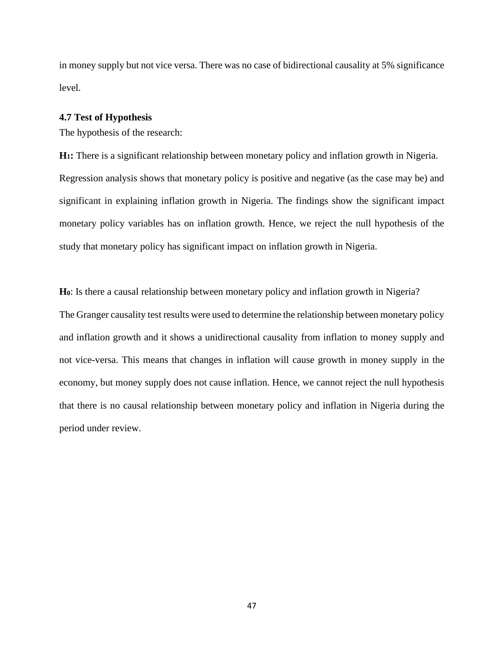in money supply but not vice versa. There was no case of bidirectional causality at 5% significance level.

#### **4.7 Test of Hypothesis**

The hypothesis of the research:

**H1:** There is a significant relationship between monetary policy and inflation growth in Nigeria. Regression analysis shows that monetary policy is positive and negative (as the case may be) and significant in explaining inflation growth in Nigeria. The findings show the significant impact monetary policy variables has on inflation growth. Hence, we reject the null hypothesis of the study that monetary policy has significant impact on inflation growth in Nigeria.

**H0**: Is there a causal relationship between monetary policy and inflation growth in Nigeria?

The Granger causality test results were used to determine the relationship between monetary policy and inflation growth and it shows a unidirectional causality from inflation to money supply and not vice-versa. This means that changes in inflation will cause growth in money supply in the economy, but money supply does not cause inflation. Hence, we cannot reject the null hypothesis that there is no causal relationship between monetary policy and inflation in Nigeria during the period under review.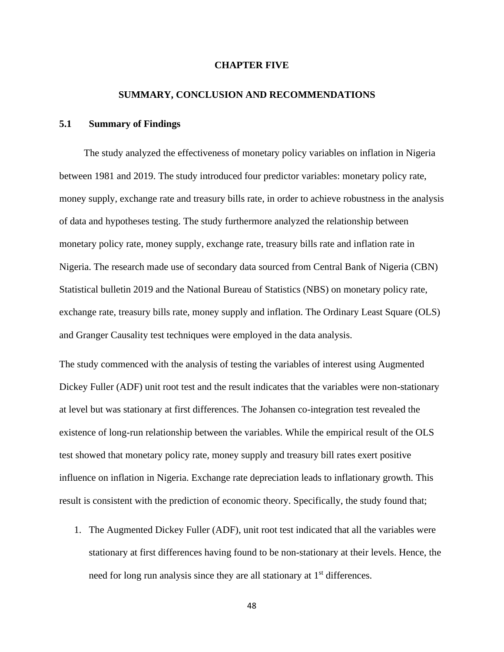#### **CHAPTER FIVE**

#### **SUMMARY, CONCLUSION AND RECOMMENDATIONS**

#### **5.1 Summary of Findings**

 The study analyzed the effectiveness of monetary policy variables on inflation in Nigeria between 1981 and 2019. The study introduced four predictor variables: monetary policy rate, money supply, exchange rate and treasury bills rate, in order to achieve robustness in the analysis of data and hypotheses testing. The study furthermore analyzed the relationship between monetary policy rate, money supply, exchange rate, treasury bills rate and inflation rate in Nigeria. The research made use of secondary data sourced from Central Bank of Nigeria (CBN) Statistical bulletin 2019 and the National Bureau of Statistics (NBS) on monetary policy rate, exchange rate, treasury bills rate, money supply and inflation. The Ordinary Least Square (OLS) and Granger Causality test techniques were employed in the data analysis.

The study commenced with the analysis of testing the variables of interest using Augmented Dickey Fuller (ADF) unit root test and the result indicates that the variables were non-stationary at level but was stationary at first differences. The Johansen co-integration test revealed the existence of long-run relationship between the variables. While the empirical result of the OLS test showed that monetary policy rate, money supply and treasury bill rates exert positive influence on inflation in Nigeria. Exchange rate depreciation leads to inflationary growth. This result is consistent with the prediction of economic theory. Specifically, the study found that;

1. The Augmented Dickey Fuller (ADF), unit root test indicated that all the variables were stationary at first differences having found to be non-stationary at their levels. Hence, the need for long run analysis since they are all stationary at 1<sup>st</sup> differences.

48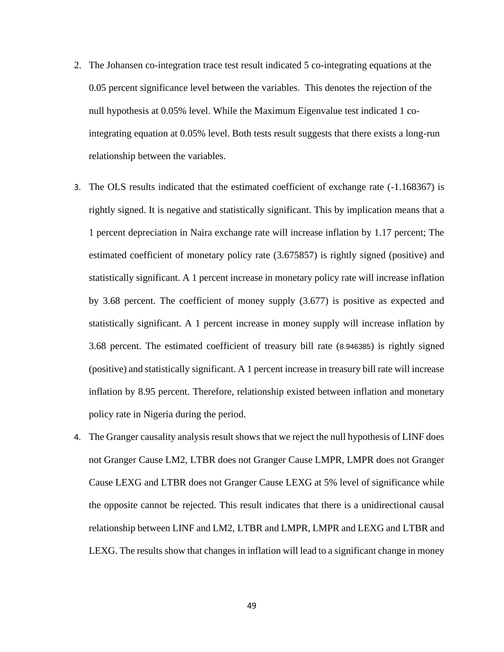- 2. The Johansen co-integration trace test result indicated 5 co-integrating equations at the 0.05 percent significance level between the variables. This denotes the rejection of the null hypothesis at 0.05% level. While the Maximum Eigenvalue test indicated 1 cointegrating equation at 0.05% level. Both tests result suggests that there exists a long-run relationship between the variables.
- 3. The OLS results indicated that the estimated coefficient of exchange rate (-1.168367) is rightly signed. It is negative and statistically significant. This by implication means that a 1 percent depreciation in Naira exchange rate will increase inflation by 1.17 percent; The estimated coefficient of monetary policy rate (3.675857) is rightly signed (positive) and statistically significant. A 1 percent increase in monetary policy rate will increase inflation by 3.68 percent. The coefficient of money supply (3.677) is positive as expected and statistically significant. A 1 percent increase in money supply will increase inflation by 3.68 percent. The estimated coefficient of treasury bill rate (8.946385) is rightly signed (positive) and statistically significant. A 1 percent increase in treasury bill rate will increase inflation by 8.95 percent. Therefore, relationship existed between inflation and monetary policy rate in Nigeria during the period.
- 4. The Granger causality analysis result shows that we reject the null hypothesis of LINF does not Granger Cause LM2, LTBR does not Granger Cause LMPR, LMPR does not Granger Cause LEXG and LTBR does not Granger Cause LEXG at 5% level of significance while the opposite cannot be rejected. This result indicates that there is a unidirectional causal relationship between LINF and LM2, LTBR and LMPR, LMPR and LEXG and LTBR and LEXG. The results show that changes in inflation will lead to a significant change in money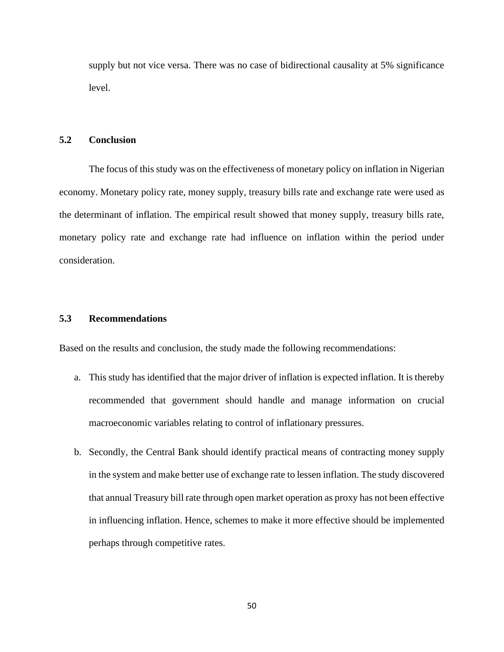supply but not vice versa. There was no case of bidirectional causality at 5% significance level.

#### **5.2 Conclusion**

The focus of this study was on the effectiveness of monetary policy on inflation in Nigerian economy. Monetary policy rate, money supply, treasury bills rate and exchange rate were used as the determinant of inflation. The empirical result showed that money supply, treasury bills rate, monetary policy rate and exchange rate had influence on inflation within the period under consideration.

## **5.3 Recommendations**

Based on the results and conclusion, the study made the following recommendations:

- a. This study has identified that the major driver of inflation is expected inflation. It is thereby recommended that government should handle and manage information on crucial macroeconomic variables relating to control of inflationary pressures.
- b. Secondly, the Central Bank should identify practical means of contracting money supply in the system and make better use of exchange rate to lessen inflation. The study discovered that annual Treasury bill rate through open market operation as proxy has not been effective in influencing inflation. Hence, schemes to make it more effective should be implemented perhaps through competitive rates.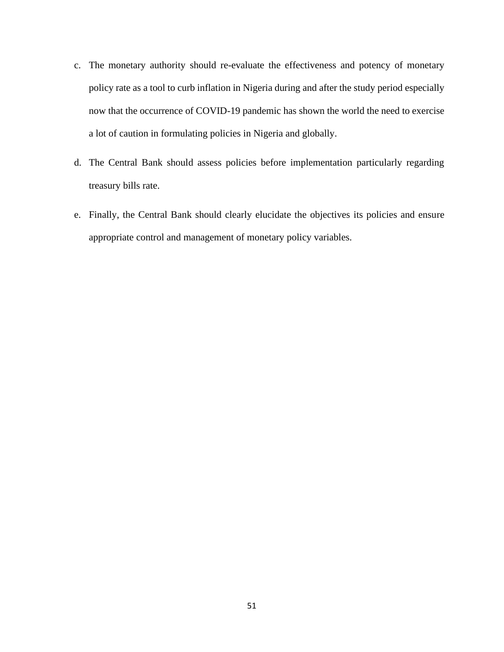- c. The monetary authority should re-evaluate the effectiveness and potency of monetary policy rate as a tool to curb inflation in Nigeria during and after the study period especially now that the occurrence of COVID-19 pandemic has shown the world the need to exercise a lot of caution in formulating policies in Nigeria and globally.
- d. The Central Bank should assess policies before implementation particularly regarding treasury bills rate.
- e. Finally, the Central Bank should clearly elucidate the objectives its policies and ensure appropriate control and management of monetary policy variables.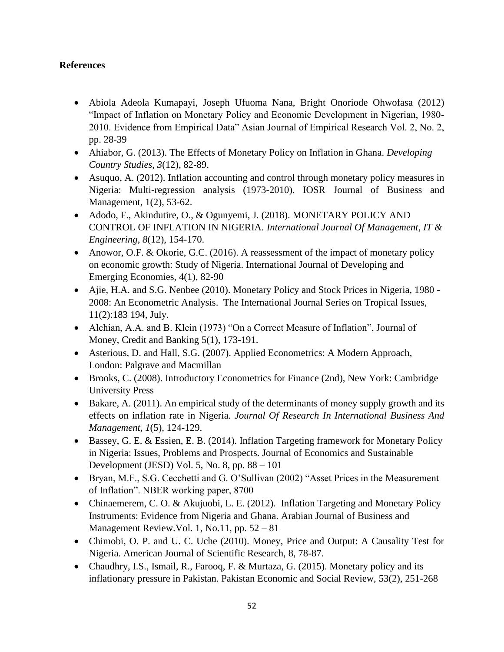## **References**

- Abiola Adeola Kumapayi, Joseph Ufuoma Nana, Bright Onoriode Ohwofasa (2012) "Impact of Inflation on Monetary Policy and Economic Development in Nigerian, 1980- 2010. Evidence from Empirical Data" Asian Journal of Empirical Research Vol. 2, No. 2, pp. 28-39
- Ahiabor, G. (2013). The Effects of Monetary Policy on Inflation in Ghana. *Developing Country Studies*, *3*(12), 82-89.
- Asuquo, A. (2012). Inflation accounting and control through monetary policy measures in Nigeria: Multi-regression analysis (1973-2010). IOSR Journal of Business and Management, 1(2), 53-62.
- Adodo, F., Akindutire, O., & Ogunyemi, J. (2018). MONETARY POLICY AND CONTROL OF INFLATION IN NIGERIA. *International Journal Of Management, IT & Engineering*, *8*(12), 154-170.
- Anowor, O.F. & Okorie, G.C. (2016). A reassessment of the impact of monetary policy on economic growth: Study of Nigeria. International Journal of Developing and Emerging Economies, 4(1), 82-90
- Ajie, H.A. and S.G. Nenbee (2010). Monetary Policy and Stock Prices in Nigeria, 1980 2008: An Econometric Analysis. The International Journal Series on Tropical Issues, 11(2):183 194, July.
- Alchian, A.A. and B. Klein (1973) "On a Correct Measure of Inflation", Journal of Money, Credit and Banking 5(1), 173-191.
- Asterious, D. and Hall, S.G. (2007). Applied Econometrics: A Modern Approach, London: Palgrave and Macmillan
- Brooks, C. (2008). Introductory Econometrics for Finance (2nd), New York: Cambridge University Press
- Bakare, A. (2011). An empirical study of the determinants of money supply growth and its effects on inflation rate in Nigeria. *Journal Of Research In International Business And Management*, *1*(5), 124-129.
- Bassey, G. E. & Essien, E. B. (2014). Inflation Targeting framework for Monetary Policy in Nigeria: Issues, Problems and Prospects. Journal of Economics and Sustainable Development (JESD) Vol. 5, No. 8, pp. 88 – 101
- Bryan, M.F., S.G. Cecchetti and G. O'Sullivan (2002) "Asset Prices in the Measurement of Inflation". NBER working paper, 8700
- Chinaemerem, C. O. & Akujuobi, L. E. (2012). Inflation Targeting and Monetary Policy Instruments: Evidence from Nigeria and Ghana. Arabian Journal of Business and Management Review.Vol. 1, No.11, pp. 52 – 81
- Chimobi, O. P. and U. C. Uche (2010). Money, Price and Output: A Causality Test for Nigeria. American Journal of Scientific Research, 8, 78-87.
- Chaudhry, I.S., Ismail, R., Farooq, F. & Murtaza, G. (2015). Monetary policy and its inflationary pressure in Pakistan. Pakistan Economic and Social Review, 53(2), 251-268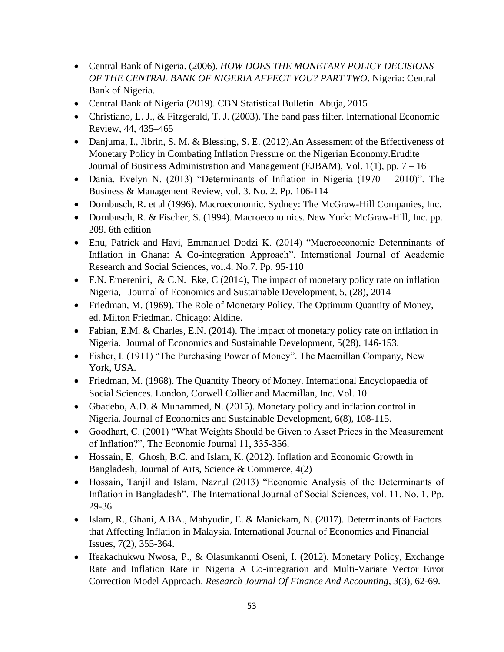- Central Bank of Nigeria. (2006). *HOW DOES THE MONETARY POLICY DECISIONS OF THE CENTRAL BANK OF NIGERIA AFFECT YOU? PART TWO*. Nigeria: Central Bank of Nigeria.
- Central Bank of Nigeria (2019). CBN Statistical Bulletin. Abuja, 2015
- Christiano, L. J., & Fitzgerald, T. J. (2003). The band pass filter. International Economic Review, 44, 435–465
- Danjuma, I., Jibrin, S. M. & Blessing, S. E. (2012). An Assessment of the Effectiveness of Monetary Policy in Combating Inflation Pressure on the Nigerian Economy.Erudite Journal of Business Administration and Management (EJBAM), Vol. 1(1), pp. 7 – 16
- Dania, Evelyn N. (2013) "Determinants of Inflation in Nigeria (1970 2010)". The Business & Management Review, vol. 3. No. 2. Pp. 106-114
- Dornbusch, R. et al (1996). Macroeconomic. Sydney: The McGraw-Hill Companies, Inc.
- Dornbusch, R. & Fischer, S. (1994). Macroeconomics. New York: McGraw-Hill, Inc. pp. 209. 6th edition
- Enu, Patrick and Havi, Emmanuel Dodzi K. (2014) "Macroeconomic Determinants of Inflation in Ghana: A Co-integration Approach". International Journal of Academic Research and Social Sciences, vol.4. No.7. Pp. 95-110
- F.N. Emerenini, & C.N. Eke, C (2014), The impact of monetary policy rate on inflation Nigeria, Journal of Economics and Sustainable Development, 5, (28), 2014
- Friedman, M. (1969). The Role of Monetary Policy. The Optimum Quantity of Money, ed. Milton Friedman. Chicago: Aldine.
- Fabian, E.M. & Charles, E.N. (2014). The impact of monetary policy rate on inflation in Nigeria. Journal of Economics and Sustainable Development, 5(28), 146-153.
- Fisher, I. (1911) "The Purchasing Power of Money". The Macmillan Company, New York, USA.
- Friedman, M. (1968). The Quantity Theory of Money. International Encyclopaedia of Social Sciences. London, Corwell Collier and Macmillan, Inc. Vol. 10
- Gbadebo, A.D. & Muhammed, N. (2015). Monetary policy and inflation control in Nigeria. Journal of Economics and Sustainable Development, 6(8), 108-115.
- Goodhart, C. (2001) "What Weights Should be Given to Asset Prices in the Measurement of Inflation?", The Economic Journal 11, 335-356.
- Hossain, E, Ghosh, B.C. and Islam, K. (2012). Inflation and Economic Growth in Bangladesh, Journal of Arts, Science & Commerce, 4(2)
- Hossain, Tanjil and Islam, Nazrul (2013) "Economic Analysis of the Determinants of Inflation in Bangladesh". The International Journal of Social Sciences, vol. 11. No. 1. Pp. 29-36
- Islam, R., Ghani, A.BA., Mahyudin, E. & Manickam, N. (2017). Determinants of Factors that Affecting Inflation in Malaysia. International Journal of Economics and Financial Issues, 7(2), 355-364.
- Ifeakachukwu Nwosa, P., & Olasunkanmi Oseni, I. (2012). Monetary Policy, Exchange Rate and Inflation Rate in Nigeria A Co-integration and Multi-Variate Vector Error Correction Model Approach. *Research Journal Of Finance And Accounting*, *3*(3), 62-69.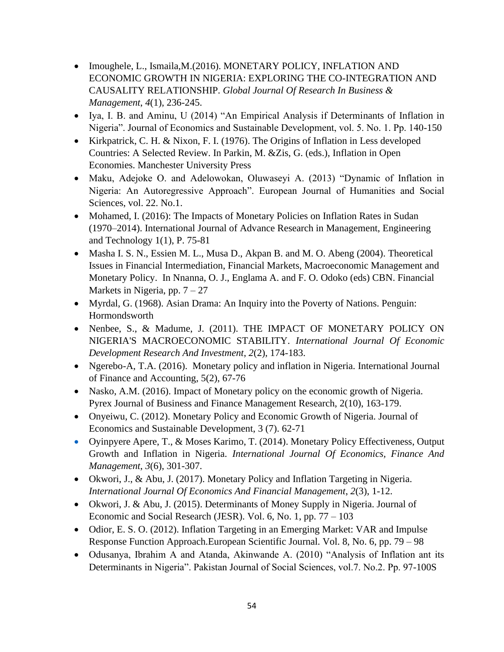- Imoughele, L., Ismaila, M. (2016). MONETARY POLICY, INFLATION AND ECONOMIC GROWTH IN NIGERIA: EXPLORING THE CO-INTEGRATION AND CAUSALITY RELATIONSHIP. *Global Journal Of Research In Business & Management*, *4*(1), 236-245.
- Iya, I. B. and Aminu, U (2014) "An Empirical Analysis if Determinants of Inflation in Nigeria". Journal of Economics and Sustainable Development, vol. 5. No. 1. Pp. 140-150
- Kirkpatrick, C. H. & Nixon, F. I. (1976). The Origins of Inflation in Less developed Countries: A Selected Review. In Parkin, M. &Zis, G. (eds.), Inflation in Open Economies. Manchester University Press
- Maku, Adejoke O. and Adelowokan, Oluwaseyi A. (2013) "Dynamic of Inflation in Nigeria: An Autoregressive Approach". European Journal of Humanities and Social Sciences, vol. 22. No.1.
- Mohamed, I. (2016): The Impacts of Monetary Policies on Inflation Rates in Sudan (1970–2014). International Journal of Advance Research in Management, Engineering and Technology 1(1), P. 75-81
- Masha I. S. N., Essien M. L., Musa D., Akpan B. and M. O. Abeng (2004). Theoretical Issues in Financial Intermediation, Financial Markets, Macroeconomic Management and Monetary Policy. In Nnanna, O. J., Englama A. and F. O. Odoko (eds) CBN. Financial Markets in Nigeria, pp.  $7 - 27$
- Myrdal, G. (1968). Asian Drama: An Inquiry into the Poverty of Nations. Penguin: Hormondsworth
- Nenbee, S., & Madume, J. (2011). THE IMPACT OF MONETARY POLICY ON NIGERIA'S MACROECONOMIC STABILITY. *International Journal Of Economic Development Research And Investment*, *2*(2), 174-183.
- Ngerebo-A, T.A. (2016). Monetary policy and inflation in Nigeria. International Journal of Finance and Accounting, 5(2), 67-76
- Nasko, A.M. (2016). Impact of Monetary policy on the economic growth of Nigeria. Pyrex Journal of Business and Finance Management Research, 2(10), 163-179.
- Onyeiwu, C. (2012). Monetary Policy and Economic Growth of Nigeria. Journal of Economics and Sustainable Development, 3 (7). 62-71
- Oyinpyere Apere, T., & Moses Karimo, T. (2014). Monetary Policy Effectiveness, Output Growth and Inflation in Nigeria. *International Journal Of Economics, Finance And Management*, *3*(6), 301-307.
- Okwori, J., & Abu, J. (2017). Monetary Policy and Inflation Targeting in Nigeria. *International Journal Of Economics And Financial Management*, *2*(3), 1-12.
- Okwori, J. & Abu, J. (2015). Determinants of Money Supply in Nigeria. Journal of Economic and Social Research (JESR). Vol. 6, No. 1, pp. 77 – 103
- Odior, E. S. O. (2012). Inflation Targeting in an Emerging Market: VAR and Impulse Response Function Approach.European Scientific Journal. Vol. 8, No. 6, pp. 79 – 98
- Odusanya, Ibrahim A and Atanda, Akinwande A. (2010) "Analysis of Inflation ant its Determinants in Nigeria". Pakistan Journal of Social Sciences, vol.7. No.2. Pp. 97-100S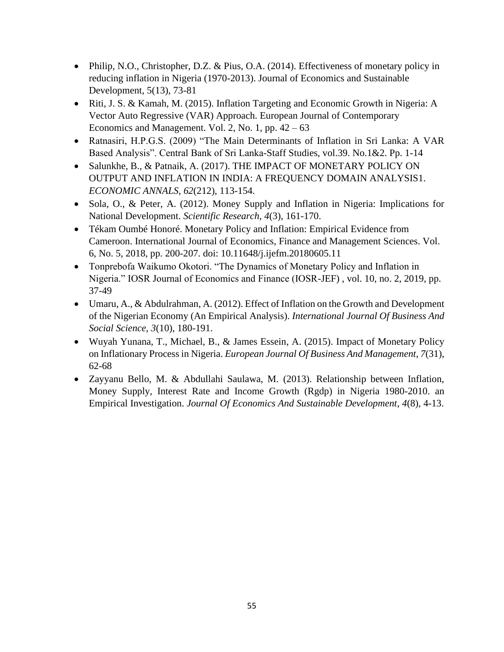- Philip, N.O., Christopher, D.Z. & Pius, O.A. (2014). Effectiveness of monetary policy in reducing inflation in Nigeria (1970-2013). Journal of Economics and Sustainable Development, 5(13), 73-81
- Riti, J. S. & Kamah, M. (2015). Inflation Targeting and Economic Growth in Nigeria: A Vector Auto Regressive (VAR) Approach. European Journal of Contemporary Economics and Management. Vol. 2, No. 1, pp.  $42 - 63$
- Ratnasiri, H.P.G.S. (2009) "The Main Determinants of Inflation in Sri Lanka: A VAR Based Analysis". Central Bank of Sri Lanka-Staff Studies, vol.39. No.1&2. Pp. 1-14
- Salunkhe, B., & Patnaik, A. (2017). THE IMPACT OF MONETARY POLICY ON OUTPUT AND INFLATION IN INDIA: A FREQUENCY DOMAIN ANALYSIS1. *ECONOMIC ANNALS*, *62*(212), 113-154.
- Sola, O., & Peter, A. (2012). Money Supply and Inflation in Nigeria: Implications for National Development. *Scientific Research*, *4*(3), 161-170.
- Tékam Oumbé Honoré. Monetary Policy and Inflation: Empirical Evidence from Cameroon. International Journal of Economics, Finance and Management Sciences. Vol. 6, No. 5, 2018, pp. 200-207. doi: 10.11648/j.ijefm.20180605.11
- Tonprebofa Waikumo Okotori. "The Dynamics of Monetary Policy and Inflation in Nigeria." IOSR Journal of Economics and Finance (IOSR-JEF) , vol. 10, no. 2, 2019, pp. 37-49
- Umaru, A., & Abdulrahman, A. (2012). Effect of Inflation on the Growth and Development of the Nigerian Economy (An Empirical Analysis). *International Journal Of Business And Social Science*, *3*(10), 180-191.
- Wuyah Yunana, T., Michael, B., & James Essein, A. (2015). Impact of Monetary Policy on Inflationary Process in Nigeria. *European Journal Of Business And Management*, *7*(31), 62-68
- Zayyanu Bello, M. & Abdullahi Saulawa, M. (2013). Relationship between Inflation, Money Supply, Interest Rate and Income Growth (Rgdp) in Nigeria 1980-2010. an Empirical Investigation. *Journal Of Economics And Sustainable Development*, *4*(8), 4-13.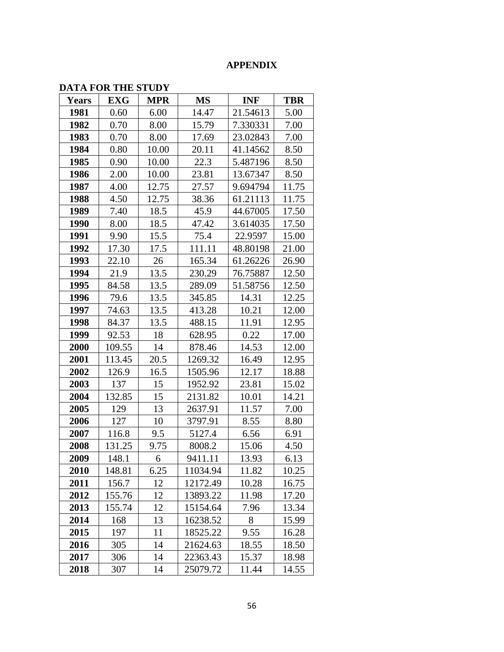## **APPENDIX**

## **DATA FOR THE STUDY**

|              | <i>D'AIRT</i> ON THE 91 CD I |            |           |            |            |
|--------------|------------------------------|------------|-----------|------------|------------|
| <b>Years</b> | <b>EXG</b>                   | <b>MPR</b> | <b>MS</b> | <b>INF</b> | <b>TBR</b> |
| 1981         | 0.60                         | 6.00       | 14.47     | 21.54613   | 5.00       |
| 1982         | 0.70                         | 8.00       | 15.79     | 7.330331   | 7.00       |
| 1983         | 0.70                         | 8.00       | 17.69     | 23.02843   | 7.00       |
| 1984         | 0.80                         | 10.00      | 20.11     | 41.14562   | 8.50       |
| 1985         | 0.90                         | 10.00      | 22.3      | 5.487196   | 8.50       |
| 1986         | 2.00                         | 10.00      | 23.81     | 13.67347   | 8.50       |
| 1987         | 4.00                         | 12.75      | 27.57     | 9.694794   | 11.75      |
| 1988         | 4.50                         | 12.75      | 38.36     | 61.21113   | 11.75      |
| 1989         | 7.40                         | 18.5       | 45.9      | 44.67005   | 17.50      |
| 1990         | 8.00                         | 18.5       | 47.42     | 3.614035   | 17.50      |
| 1991         | 9.90                         | 15.5       | 75.4      | 22.9597    | 15.00      |
| 1992         | 17.30                        | 17.5       | 111.11    | 48.80198   | 21.00      |
| 1993         | 22.10                        | 26         | 165.34    | 61.26226   | 26.90      |
| 1994         | 21.9                         | 13.5       | 230.29    | 76.75887   | 12.50      |
| 1995         | 84.58                        | 13.5       | 289.09    | 51.58756   | 12.50      |
| 1996         | 79.6                         | 13.5       | 345.85    | 14.31      | 12.25      |
| 1997         | 74.63                        | 13.5       | 413.28    | 10.21      | 12.00      |
| 1998         | 84.37                        | 13.5       | 488.15    | 11.91      | 12.95      |
| 1999         | 92.53                        | 18         | 628.95    | 0.22       | 17.00      |
| 2000         | 109.55                       | 14         | 878.46    | 14.53      | 12.00      |
| 2001         | 113.45                       | 20.5       | 1269.32   | 16.49      | 12.95      |
| 2002         | 126.9                        | 16.5       | 1505.96   | 12.17      | 18.88      |
| 2003         | 137                          | 15         | 1952.92   | 23.81      | 15.02      |
| 2004         | 132.85                       | 15         | 2131.82   | 10.01      | 14.21      |
| 2005         | 129                          | 13         | 2637.91   | 11.57      | 7.00       |
| 2006         | 127                          | 10         | 3797.91   | 8.55       | 8.80       |
| 2007         | 116.8                        | 9.5        | 5127.4    | 6.56       | 6.91       |
| 2008         | 131.25                       | 9.75       | 8008.2    | 15.06      | 4.50       |
| 2009         | 148.1                        | 6          | 9411.11   | 13.93      | 6.13       |
| 2010         | 148.81                       | 6.25       | 11034.94  | 11.82      | 10.25      |
| 2011         | 156.7                        | 12         | 12172.49  | 10.28      | 16.75      |
| 2012         | 155.76                       | 12         | 13893.22  | 11.98      | 17.20      |
| 2013         | 155.74                       | 12         | 15154.64  | 7.96       | 13.34      |
| 2014         | 168                          | 13         | 16238.52  | 8          | 15.99      |
| 2015         | 197                          | 11         | 18525.22  | 9.55       | 16.28      |
| 2016         | 305                          | 14         | 21624.63  | 18.55      | 18.50      |
| 2017         | 306                          | 14         | 22363.43  | 15.37      | 18.98      |
| 2018         | 307                          | 14         | 25079.72  | 11.44      | 14.55      |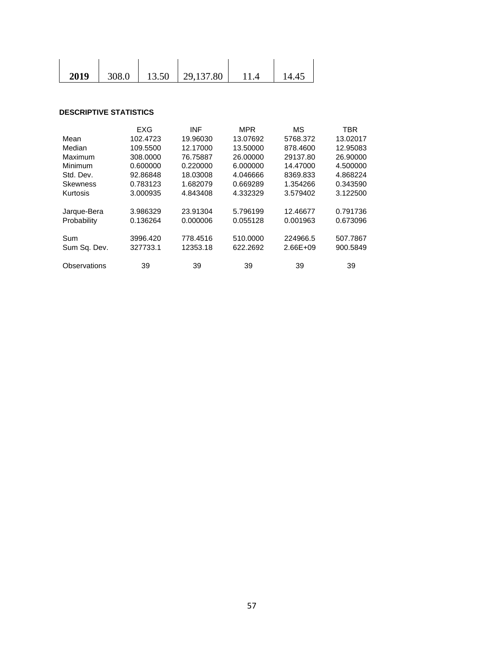| 2019 |  | 308.0   13.50   29,137.80 | 11.4 |  |
|------|--|---------------------------|------|--|

#### **DESCRIPTIVE STATISTICS**

|                 | EXG      | <b>INF</b> | <b>MPR</b> | MS           | <b>TBR</b> |
|-----------------|----------|------------|------------|--------------|------------|
| Mean            | 102.4723 | 19.96030   | 13.07692   | 5768.372     | 13.02017   |
| Median          | 109.5500 | 12.17000   | 13.50000   | 878.4600     | 12.95083   |
| Maximum         | 308,0000 | 76.75887   | 26.00000   | 29137.80     | 26.90000   |
| Minimum         | 0.600000 | 0.220000   | 6.000000   | 14.47000     | 4.500000   |
| Std. Dev.       | 92.86848 | 18.03008   | 4.046666   | 8369.833     | 4.868224   |
| <b>Skewness</b> | 0.783123 | 1.682079   | 0.669289   | 1.354266     | 0.343590   |
| Kurtosis        | 3.000935 | 4.843408   | 4.332329   | 3.579402     | 3.122500   |
|                 |          |            |            |              |            |
| Jarque-Bera     | 3.986329 | 23.91304   | 5.796199   | 12.46677     | 0.791736   |
| Probability     | 0.136264 | 0.000006   | 0.055128   | 0.001963     | 0.673096   |
|                 |          |            |            |              |            |
| Sum             | 3996.420 | 778.4516   | 510.0000   | 224966.5     | 507.7867   |
| Sum Sq. Dev.    | 327733.1 | 12353.18   | 622.2692   | $2.66E + 09$ | 900.5849   |
|                 |          |            |            |              |            |
| Observations    | 39       | 39         | 39         | 39           | 39         |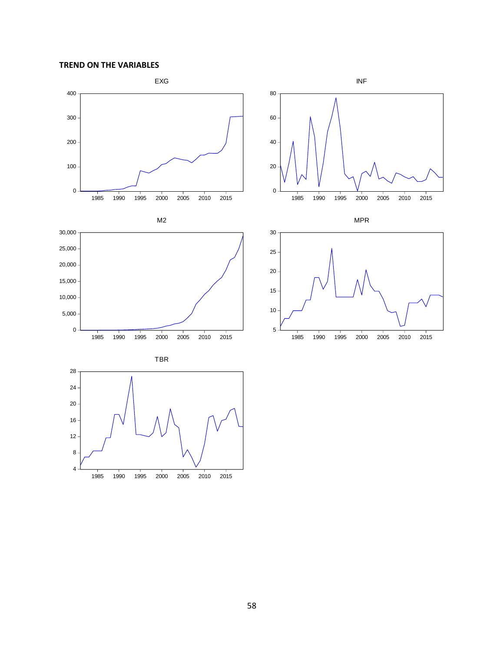**TREND ON THE VARIABLES**

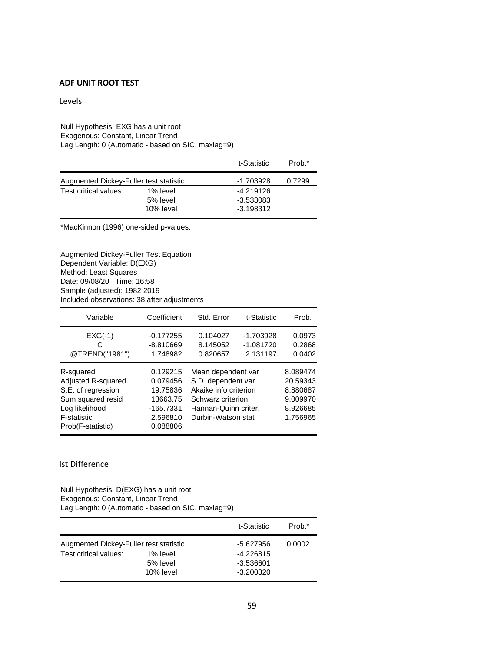#### **ADF UNIT ROOT TEST**

Levels

#### Null Hypothesis: EXG has a unit root Exogenous: Constant, Linear Trend Lag Length: 0 (Automatic - based on SIC, maxlag=9)

|                                        |           | t-Statistic | Prob.* |
|----------------------------------------|-----------|-------------|--------|
| Augmented Dickey-Fuller test statistic |           | $-1.703928$ | 0.7299 |
| Test critical values:                  | 1% level  | $-4.219126$ |        |
|                                        | 5% level  | $-3.533083$ |        |
|                                        | 10% level | $-3.198312$ |        |

\*MacKinnon (1996) one-sided p-values.

Augmented Dickey-Fuller Test Equation Dependent Variable: D(EXG) Method: Least Squares Date: 09/08/20 Time: 16:58 Sample (adjusted): 1982 2019 Included observations: 38 after adjustments

| Variable                                                                                                                         | Coefficient                                                                       | Std. Error                                                                                                                           | t-Statistic                          | Prob.                                                                |
|----------------------------------------------------------------------------------------------------------------------------------|-----------------------------------------------------------------------------------|--------------------------------------------------------------------------------------------------------------------------------------|--------------------------------------|----------------------------------------------------------------------|
| $EXG(-1)$<br>@TREND("1981")                                                                                                      | $-0.177255$<br>$-8.810669$<br>1.748982                                            | 0.104027<br>8.145052<br>0.820657                                                                                                     | -1.703928<br>$-1.081720$<br>2.131197 | 0.0973<br>0.2868<br>0.0402                                           |
| R-squared<br>Adjusted R-squared<br>S.E. of regression<br>Sum squared resid<br>Log likelihood<br>F-statistic<br>Prob(F-statistic) | 0.129215<br>0.079456<br>19.75836<br>13663.75<br>-165.7331<br>2.596810<br>0.088806 | Mean dependent var<br>S.D. dependent var<br>Akaike info criterion<br>Schwarz criterion<br>Hannan-Quinn criter.<br>Durbin-Watson stat |                                      | 8.089474<br>20.59343<br>8.880687<br>9.009970<br>8.926685<br>1.756965 |

#### Ist Difference

Null Hypothesis: D(EXG) has a unit root Exogenous: Constant, Linear Trend Lag Length: 0 (Automatic - based on SIC, maxlag=9)

|                                        |           | t-Statistic | Prob.* |
|----------------------------------------|-----------|-------------|--------|
| Augmented Dickey-Fuller test statistic |           | -5.627956   | 0.0002 |
| Test critical values:                  | 1% level  | $-4.226815$ |        |
|                                        | 5% level  | -3.536601   |        |
|                                        | 10% level | $-3.200320$ |        |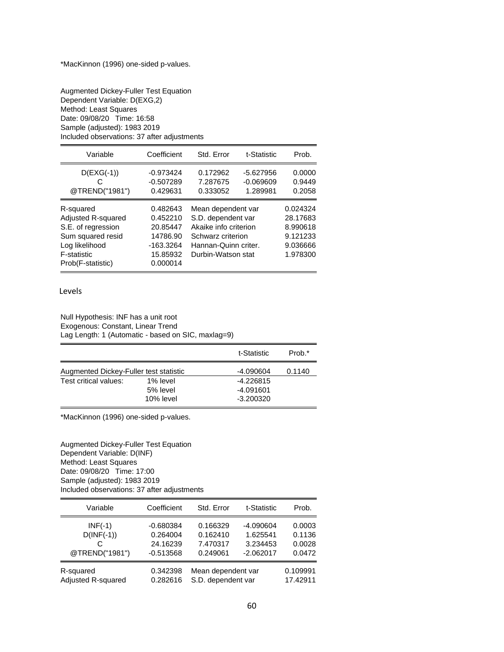Augmented Dickey-Fuller Test Equation Dependent Variable: D(EXG,2) Method: Least Squares Date: 09/08/20 Time: 16:58 Sample (adjusted): 1983 2019 Included observations: 37 after adjustments

| Variable                                                                                                                         | Coefficient                                                                         | Std. Error                                                                                                                           | t-Statistic                            | Prob.                                                                |
|----------------------------------------------------------------------------------------------------------------------------------|-------------------------------------------------------------------------------------|--------------------------------------------------------------------------------------------------------------------------------------|----------------------------------------|----------------------------------------------------------------------|
| $D(EXG(-1))$<br>@TREND("1981")                                                                                                   | $-0.973424$<br>$-0.507289$<br>0.429631                                              | 0.172962<br>7.287675<br>0.333052                                                                                                     | $-5.627956$<br>$-0.069609$<br>1.289981 | 0.0000<br>0.9449<br>0.2058                                           |
| R-squared<br>Adjusted R-squared<br>S.E. of regression<br>Sum squared resid<br>Log likelihood<br>F-statistic<br>Prob(F-statistic) | 0.482643<br>0.452210<br>20.85447<br>14786.90<br>$-163.3264$<br>15.85932<br>0.000014 | Mean dependent var<br>S.D. dependent var<br>Akaike info criterion<br>Schwarz criterion<br>Hannan-Quinn criter.<br>Durbin-Watson stat |                                        | 0.024324<br>28.17683<br>8.990618<br>9.121233<br>9.036666<br>1.978300 |

#### Levels

Null Hypothesis: INF has a unit root Exogenous: Constant, Linear Trend Lag Length: 1 (Automatic - based on SIC, maxlag=9)

|                                        |           | t-Statistic | Prob.* |
|----------------------------------------|-----------|-------------|--------|
| Augmented Dickey-Fuller test statistic |           | -4.090604   | 0.1140 |
| Test critical values:                  | 1% level  | $-4.226815$ |        |
|                                        | 5% level  | $-4.091601$ |        |
|                                        | 10% level | $-3.200320$ |        |

\*MacKinnon (1996) one-sided p-values.

Augmented Dickey-Fuller Test Equation Dependent Variable: D(INF) Method: Least Squares Date: 09/08/20 Time: 17:00 Sample (adjusted): 1983 2019 Included observations: 37 after adjustments

| Variable           | Coefficient | Std. Error         | t-Statistic | Prob.    |
|--------------------|-------------|--------------------|-------------|----------|
|                    |             |                    |             |          |
| $INF(-1)$          | $-0.680384$ | 0.166329           | $-4.090604$ | 0.0003   |
| $D(INF(-1))$       | 0.264004    | 0.162410           | 1.625541    | 0.1136   |
|                    | 24.16239    | 7.470317           | 3.234453    | 0.0028   |
| @TREND("1981")     | $-0.513568$ | 0.249061           | $-2.062017$ | 0.0472   |
| R-squared          | 0.342398    | Mean dependent var |             | 0.109991 |
|                    |             |                    |             |          |
| Adjusted R-squared | 0.282616    | S.D. dependent var |             | 17.42911 |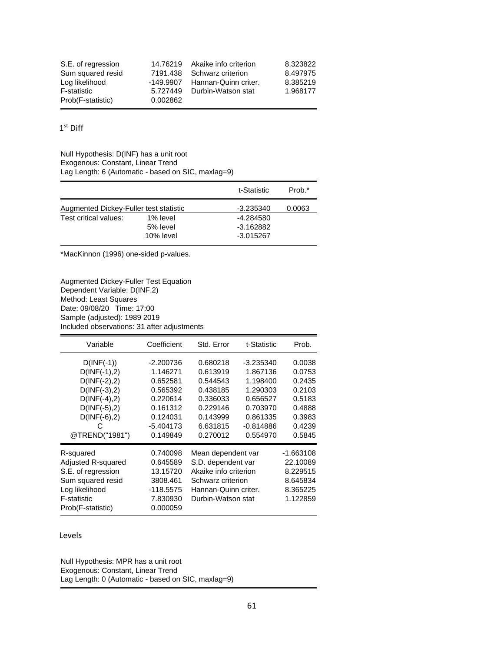| S.E. of regression |          | 14.76219 Akaike info criterion | 8.323822 |
|--------------------|----------|--------------------------------|----------|
| Sum squared resid  | 7191.438 | Schwarz criterion              | 8.497975 |
| Log likelihood     |          | -149.9907 Hannan-Quinn criter. | 8.385219 |
| F-statistic        |          | 5.727449 Durbin-Watson stat    | 1.968177 |
| Prob(F-statistic)  | 0.002862 |                                |          |

1 st Diff

Null Hypothesis: D(INF) has a unit root Exogenous: Constant, Linear Trend Lag Length: 6 (Automatic - based on SIC, maxlag=9)

|                                        |           | t-Statistic | Prob.* |
|----------------------------------------|-----------|-------------|--------|
| Augmented Dickey-Fuller test statistic |           | -3.235340   | 0.0063 |
| Test critical values:                  | 1% level  | -4.284580   |        |
|                                        | 5% level  | $-3.162882$ |        |
|                                        | 10% level | -3.015267   |        |

\*MacKinnon (1996) one-sided p-values.

Augmented Dickey-Fuller Test Equation Dependent Variable: D(INF,2) Method: Least Squares Date: 09/08/20 Time: 17:00 Sample (adjusted): 1989 2019 Included observations: 31 after adjustments

| Variable                                                                                                                                               | Coefficient                                                                                                    | Std. Error                                                                                                                           | t-Statistic                                                                                                    | Prob.                                                                                  |
|--------------------------------------------------------------------------------------------------------------------------------------------------------|----------------------------------------------------------------------------------------------------------------|--------------------------------------------------------------------------------------------------------------------------------------|----------------------------------------------------------------------------------------------------------------|----------------------------------------------------------------------------------------|
| $D(INF(-1))$<br>$D(INF(-1), 2)$<br>$D(INF(-2), 2)$<br>$D(INF(-3), 2)$<br>$D(INF(-4), 2)$<br>$D(INF(-5), 2)$<br>$D(INF(-6), 2)$<br>C.<br>@TREND("1981") | $-2.200736$<br>1.146271<br>0.652581<br>0.565392<br>0.220614<br>0.161312<br>0.124031<br>$-5.404173$<br>0.149849 | 0.680218<br>0.613919<br>0.544543<br>0.438185<br>0.336033<br>0.229146<br>0.143999<br>6.631815<br>0.270012                             | $-3.235340$<br>1.867136<br>1.198400<br>1.290303<br>0.656527<br>0.703970<br>0.861335<br>$-0.814886$<br>0.554970 | 0.0038<br>0.0753<br>0.2435<br>0.2103<br>0.5183<br>0.4888<br>0.3983<br>0.4239<br>0.5845 |
| R-squared<br>Adjusted R-squared<br>S.E. of regression<br>Sum squared resid<br>Log likelihood<br>F-statistic<br>Prob(F-statistic)                       | 0.740098<br>0.645589<br>13.15720<br>3808.461<br>-118.5575<br>7.830930<br>0.000059                              | Mean dependent var<br>S.D. dependent var<br>Akaike info criterion<br>Schwarz criterion<br>Hannan-Quinn criter.<br>Durbin-Watson stat |                                                                                                                | -1.663108<br>22.10089<br>8.229515<br>8.645834<br>8.365225<br>1.122859                  |

Levels

Null Hypothesis: MPR has a unit root Exogenous: Constant, Linear Trend Lag Length: 0 (Automatic - based on SIC, maxlag=9)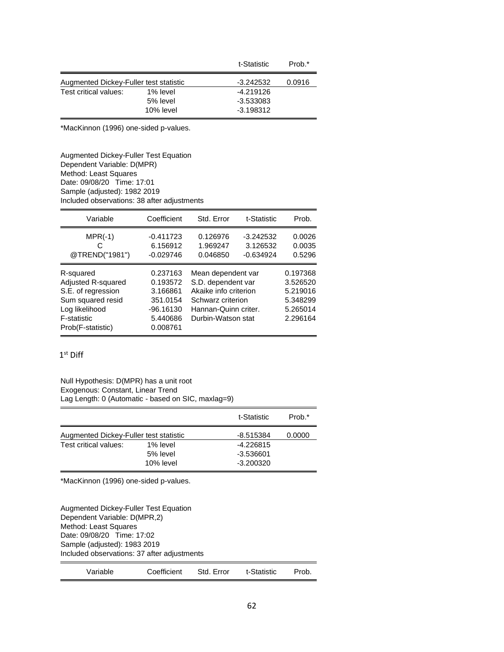|                                        |           | t-Statistic | Prob.* |
|----------------------------------------|-----------|-------------|--------|
| Augmented Dickey-Fuller test statistic |           | -3.242532   | 0.0916 |
| Test critical values:                  | 1% level  | $-4.219126$ |        |
|                                        | 5% level  | $-3.533083$ |        |
|                                        | 10% level | $-3.198312$ |        |

\*MacKinnon (1996) one-sided p-values.

Augmented Dickey-Fuller Test Equation Dependent Variable: D(MPR) Method: Least Squares Date: 09/08/20 Time: 17:01 Sample (adjusted): 1982 2019 Included observations: 38 after adjustments

| Variable                                                                                                                                | Coefficient                                                                         | Std. Error                                                                                                                           | t-Statistic                            | Prob.                                                                |
|-----------------------------------------------------------------------------------------------------------------------------------------|-------------------------------------------------------------------------------------|--------------------------------------------------------------------------------------------------------------------------------------|----------------------------------------|----------------------------------------------------------------------|
| $MPR(-1)$<br>C<br>@TREND("1981")                                                                                                        | $-0.411723$<br>6.156912<br>$-0.029746$                                              | 0.126976<br>1.969247<br>0.046850                                                                                                     | $-3.242532$<br>3.126532<br>$-0.634924$ | 0.0026<br>0.0035<br>0.5296                                           |
| R-squared<br>Adjusted R-squared<br>S.E. of regression<br>Sum squared resid<br>Log likelihood<br><b>F-statistic</b><br>Prob(F-statistic) | 0.237163<br>0.193572<br>3.166861<br>351.0154<br>$-96.16130$<br>5.440686<br>0.008761 | Mean dependent var<br>S.D. dependent var<br>Akaike info criterion<br>Schwarz criterion<br>Hannan-Quinn criter.<br>Durbin-Watson stat |                                        | 0.197368<br>3.526520<br>5.219016<br>5.348299<br>5.265014<br>2.296164 |

### $1^{\text{st}}$  Diff

Null Hypothesis: D(MPR) has a unit root Exogenous: Constant, Linear Trend Lag Length: 0 (Automatic - based on SIC, maxlag=9)

|                                        |                                   | t-Statistic                               | Prob.* |
|----------------------------------------|-----------------------------------|-------------------------------------------|--------|
| Augmented Dickey-Fuller test statistic |                                   | -8.515384                                 | 0.0000 |
| Test critical values:                  | 1% level<br>5% level<br>10% level | $-4.226815$<br>$-3.536601$<br>$-3.200320$ |        |

\*MacKinnon (1996) one-sided p-values.

Augmented Dickey-Fuller Test Equation Dependent Variable: D(MPR,2) Method: Least Squares Date: 09/08/20 Time: 17:02 Sample (adjusted): 1983 2019 Included observations: 37 after adjustments

| Variable | Coefficient | Std. Error | t-Statistic | Prob. |
|----------|-------------|------------|-------------|-------|
|          |             |            |             |       |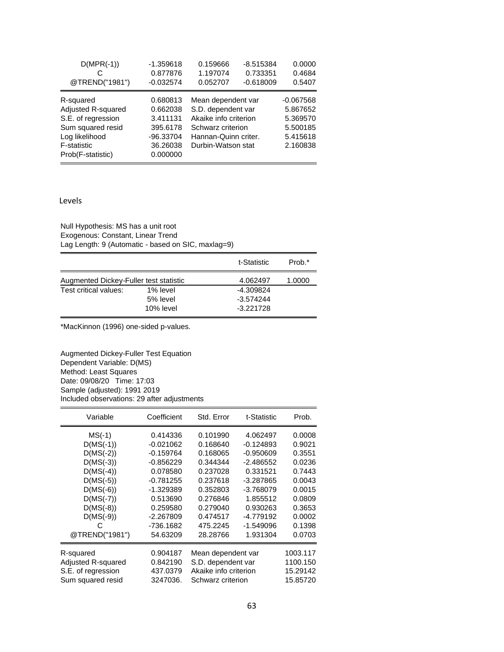| $D(MPR(-1))$<br>@TREND("1981")                                                                                                   | $-1.359618$<br>0.877876<br>$-0.032574$                                            | 0.159666<br>1.197074<br>0.052707                                                                                                     | $-8.515384$<br>0.733351<br>$-0.618009$ | 0.0000<br>0.4684<br>0.5407                                              |
|----------------------------------------------------------------------------------------------------------------------------------|-----------------------------------------------------------------------------------|--------------------------------------------------------------------------------------------------------------------------------------|----------------------------------------|-------------------------------------------------------------------------|
| R-squared<br>Adjusted R-squared<br>S.E. of regression<br>Sum squared resid<br>Log likelihood<br>F-statistic<br>Prob(F-statistic) | 0.680813<br>0.662038<br>3.411131<br>395.6178<br>-96.33704<br>36.26038<br>0.000000 | Mean dependent var<br>S.D. dependent var<br>Akaike info criterion<br>Schwarz criterion<br>Hannan-Quinn criter.<br>Durbin-Watson stat |                                        | $-0.067568$<br>5.867652<br>5.369570<br>5.500185<br>5.415618<br>2.160838 |

#### Levels

Null Hypothesis: MS has a unit root Exogenous: Constant, Linear Trend Lag Length: 9 (Automatic - based on SIC, maxlag=9)

|                                        |           | t-Statistic | Prob.* |
|----------------------------------------|-----------|-------------|--------|
| Augmented Dickey-Fuller test statistic |           | 4.062497    | 1.0000 |
| Test critical values:                  | 1% level  | -4.309824   |        |
|                                        | 5% level  | $-3.574244$ |        |
|                                        | 10% level | $-3.221728$ |        |

\*MacKinnon (1996) one-sided p-values.

Augmented Dickey-Fuller Test Equation Dependent Variable: D(MS) Method: Least Squares Date: 09/08/20 Time: 17:03 Sample (adjusted): 1991 2019 Included observations: 29 after adjustments

| Variable           | Coefficient | Std. Error            | t-Statistic | Prob.    |
|--------------------|-------------|-----------------------|-------------|----------|
| $MS(-1)$           | 0.414336    | 0.101990              | 4.062497    | 0.0008   |
| $D(MS(-1))$        | $-0.021062$ | 0.168640              | -0.124893   | 0.9021   |
| $D(MS(-2))$        | $-0.159764$ | 0.168065              | $-0.950609$ | 0.3551   |
| $D(MS(-3))$        | $-0.856229$ | 0.344344              | -2.486552   | 0.0236   |
| $D(MS(-4))$        | 0.078580    | 0.237028              | 0.331521    | 0.7443   |
| $D(MS(-5))$        | $-0.781255$ | 0.237618              | -3.287865   | 0.0043   |
| $D(MS(-6))$        | -1.329389   | 0.352803              | -3.768079   | 0.0015   |
| $D(MS(-7))$        | 0.513690    | 0.276846              | 1.855512    | 0.0809   |
| $D(MS(-8))$        | 0.259580    | 0.279040              | 0.930263    | 0.3653   |
| $D(MS(-9))$        | $-2.267809$ | 0.474517              | -4.779192   | 0.0002   |
| С                  | -736.1682   | 475.2245              | -1.549096   | 0.1398   |
| @TREND("1981")     | 54.63209    | 28.28766              | 1.931304    | 0.0703   |
| R-squared          | 0.904187    | Mean dependent var    |             | 1003.117 |
| Adjusted R-squared | 0.842190    | S.D. dependent var    |             | 1100.150 |
| S.E. of regression | 437.0379    | Akaike info criterion |             | 15.29142 |
| Sum squared resid  | 3247036.    | Schwarz criterion     |             | 15.85720 |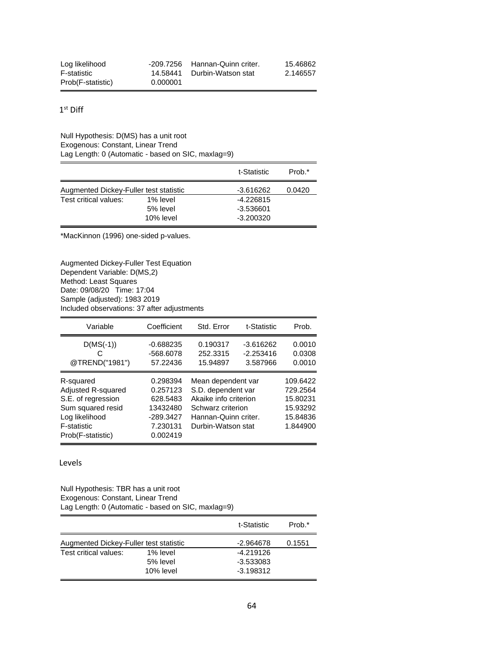| Log likelihood    |          | -209.7256 Hannan-Quinn criter. | 15.46862 |
|-------------------|----------|--------------------------------|----------|
| F-statistic       |          | 14.58441 Durbin-Watson stat    | 2.146557 |
| Prob(F-statistic) | 0.000001 |                                |          |

 $1^{\text{st}}$  Diff

Null Hypothesis: D(MS) has a unit root Exogenous: Constant, Linear Trend Lag Length: 0 (Automatic - based on SIC, maxlag=9)

|                                        |           | t-Statistic | Prob.* |
|----------------------------------------|-----------|-------------|--------|
| Augmented Dickey-Fuller test statistic |           | -3.616262   | 0.0420 |
| Test critical values:                  | 1% level  | -4.226815   |        |
|                                        | 5% level  | -3.536601   |        |
|                                        | 10% level | $-3.200320$ |        |

\*MacKinnon (1996) one-sided p-values.

Augmented Dickey-Fuller Test Equation Dependent Variable: D(MS,2) Method: Least Squares Date: 09/08/20 Time: 17:04 Sample (adjusted): 1983 2019 Included observations: 37 after adjustments

| Variable                                                                                                                                | Coefficient                                                                         | Std. Error                                                                                                                           | t-Statistic                            | Prob.                                                                |
|-----------------------------------------------------------------------------------------------------------------------------------------|-------------------------------------------------------------------------------------|--------------------------------------------------------------------------------------------------------------------------------------|----------------------------------------|----------------------------------------------------------------------|
| $D(MS(-1))$<br>@TREND("1981")                                                                                                           | $-0.688235$<br>-568.6078<br>57.22436                                                | 0.190317<br>252.3315<br>15.94897                                                                                                     | $-3.616262$<br>$-2.253416$<br>3.587966 | 0.0010<br>0.0308<br>0.0010                                           |
| R-squared<br>Adjusted R-squared<br>S.E. of regression<br>Sum squared resid<br>Log likelihood<br><b>F-statistic</b><br>Prob(F-statistic) | 0.298394<br>0.257123<br>628.5483<br>13432480<br>$-289.3427$<br>7.230131<br>0.002419 | Mean dependent var<br>S.D. dependent var<br>Akaike info criterion<br>Schwarz criterion<br>Hannan-Quinn criter.<br>Durbin-Watson stat |                                        | 109.6422<br>729.2564<br>15.80231<br>15.93292<br>15.84836<br>1.844900 |

Levels

Null Hypothesis: TBR has a unit root Exogenous: Constant, Linear Trend Lag Length: 0 (Automatic - based on SIC, maxlag=9)

|                                        |           | t-Statistic | Prob.* |
|----------------------------------------|-----------|-------------|--------|
| Augmented Dickey-Fuller test statistic |           | -2.964678   | 0.1551 |
| Test critical values:                  | 1% level  | $-4.219126$ |        |
|                                        | 5% level  | $-3.533083$ |        |
|                                        | 10% level | $-3.198312$ |        |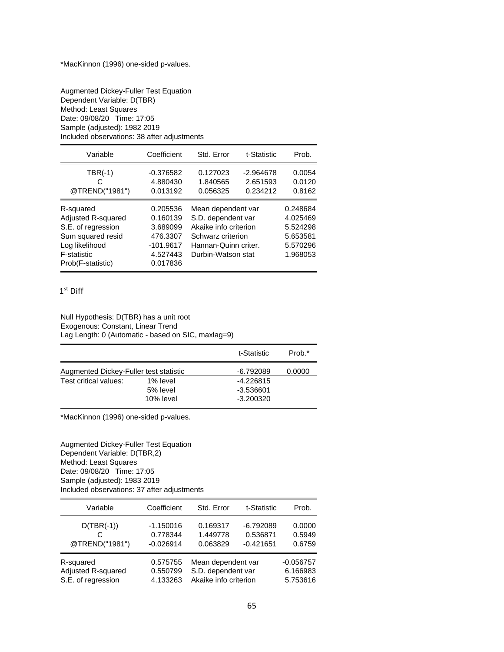Augmented Dickey-Fuller Test Equation Dependent Variable: D(TBR) Method: Least Squares Date: 09/08/20 Time: 17:05 Sample (adjusted): 1982 2019 Included observations: 38 after adjustments

| Variable                                                                                                                         | Coefficient                                                                         | Std. Error                                                                                                                           | t-Statistic                         | Prob.                                                                |
|----------------------------------------------------------------------------------------------------------------------------------|-------------------------------------------------------------------------------------|--------------------------------------------------------------------------------------------------------------------------------------|-------------------------------------|----------------------------------------------------------------------|
| $TBR(-1)$<br>C<br>@TREND("1981")                                                                                                 | $-0.376582$<br>4.880430<br>0.013192                                                 | 0.127023<br>1.840565<br>0.056325                                                                                                     | $-2.964678$<br>2.651593<br>0.234212 | 0.0054<br>0.0120<br>0.8162                                           |
| R-squared<br>Adjusted R-squared<br>S.E. of regression<br>Sum squared resid<br>Log likelihood<br>F-statistic<br>Prob(F-statistic) | 0.205536<br>0.160139<br>3.689099<br>476.3307<br>$-101.9617$<br>4.527443<br>0.017836 | Mean dependent var<br>S.D. dependent var<br>Akaike info criterion<br>Schwarz criterion<br>Hannan-Quinn criter.<br>Durbin-Watson stat |                                     | 0.248684<br>4.025469<br>5.524298<br>5.653581<br>5.570296<br>1.968053 |

### 1 st Diff

Null Hypothesis: D(TBR) has a unit root Exogenous: Constant, Linear Trend Lag Length: 0 (Automatic - based on SIC, maxlag=9)

|                                        |           | t-Statistic | Prob.* |
|----------------------------------------|-----------|-------------|--------|
| Augmented Dickey-Fuller test statistic |           | -6.792089   | 0.0000 |
| Test critical values:                  | 1% level  | $-4.226815$ |        |
|                                        | 5% level  | -3.536601   |        |
|                                        | 10% level | $-3.200320$ |        |

\*MacKinnon (1996) one-sided p-values.

Augmented Dickey-Fuller Test Equation Dependent Variable: D(TBR,2) Method: Least Squares Date: 09/08/20 Time: 17:05 Sample (adjusted): 1983 2019 Included observations: 37 after adjustments

| Variable                                              | Coefficient                            | Std. Error                                                        | t-Statistic                            | Prob.                               |
|-------------------------------------------------------|----------------------------------------|-------------------------------------------------------------------|----------------------------------------|-------------------------------------|
| $D(TBR(-1))$<br>@TREND("1981")                        | $-1.150016$<br>0.778344<br>$-0.026914$ | 0.169317<br>1.449778<br>0.063829                                  | $-6.792089$<br>0.536871<br>$-0.421651$ | 0.0000<br>0.5949<br>0.6759          |
| R-squared<br>Adjusted R-squared<br>S.E. of regression | 0.575755<br>0.550799<br>4.133263       | Mean dependent var<br>S.D. dependent var<br>Akaike info criterion |                                        | $-0.056757$<br>6.166983<br>5.753616 |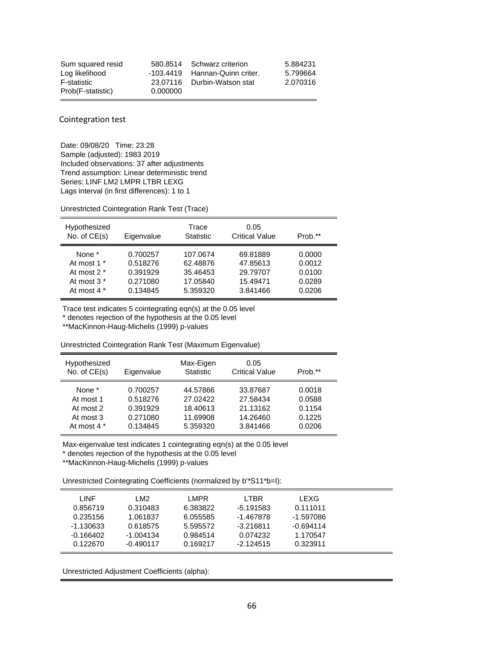| Sum squared resid |          | 580.8514 Schwarz criterion     | 5.884231 |
|-------------------|----------|--------------------------------|----------|
| Log likelihood    |          | -103.4419 Hannan-Quinn criter. | 5.799664 |
| F-statistic       |          | 23.07116 Durbin-Watson stat    | 2.070316 |
| Prob(F-statistic) | 0.000000 |                                |          |

Cointegration test

Date: 09/08/20 Time: 23:28 Sample (adjusted): 1983 2019 Included observations: 37 after adjustments Trend assumption: Linear deterministic trend Series: LINF LM2 LMPR LTBR LEXG Lags interval (in first differences): 1 to 1

Unrestricted Cointegration Rank Test (Trace)

| Hypothesized<br>No. of $CE(s)$ | Eigenvalue | Trace<br><b>Statistic</b> | 0.05<br><b>Critical Value</b> | Prob.** |
|--------------------------------|------------|---------------------------|-------------------------------|---------|
| None *                         | 0.700257   | 107.0674                  | 69.81889                      | 0.0000  |
| At most 1 *                    | 0.518276   | 62.48876                  | 47.85613                      | 0.0012  |
| At most 2 *                    | 0.391929   | 35.46453                  | 29.79707                      | 0.0100  |
| At most 3 *                    | 0.271080   | 17.05840                  | 15.49471                      | 0.0289  |
| At most 4 *                    | 0.134845   | 5.359320                  | 3.841466                      | 0.0206  |

Trace test indicates 5 cointegrating eqn(s) at the 0.05 level

\* denotes rejection of the hypothesis at the 0.05 level

\*\*MacKinnon-Haug-Michelis (1999) p-values

Unrestricted Cointegration Rank Test (Maximum Eigenvalue)

| Hypothesized<br>No. of $CE(s)$                               | Eigenvalue                                               | Max-Eigen<br><b>Statistic</b>                            | 0.05<br><b>Critical Value</b>                            | Prob.**                                        |
|--------------------------------------------------------------|----------------------------------------------------------|----------------------------------------------------------|----------------------------------------------------------|------------------------------------------------|
| None *<br>At most 1<br>At most 2<br>At most 3<br>At most 4 * | 0.700257<br>0.518276<br>0.391929<br>0.271080<br>0.134845 | 44.57866<br>27.02422<br>18.40613<br>11.69908<br>5.359320 | 33.87687<br>27.58434<br>21.13162<br>14.26460<br>3.841466 | 0.0018<br>0.0588<br>0.1154<br>0.1225<br>0.0206 |

Max-eigenvalue test indicates 1 cointegrating eqn(s) at the 0.05 level

\* denotes rejection of the hypothesis at the 0.05 level

\*\*MacKinnon-Haug-Michelis (1999) p-values

Unrestricted Cointegrating Coefficients (normalized by b'\*S11\*b=I):

| LINF        | LM <sub>2</sub> | LMPR.    | LTBR        | LEXG        |  |
|-------------|-----------------|----------|-------------|-------------|--|
| 0.856719    | 0.310483        | 6.383822 | $-5.191583$ | 0.111011    |  |
| 0.235156    | 1.061837        | 6.055585 | -1.467878   | $-1.597086$ |  |
| $-1.130633$ | 0.618575        | 5.595572 | $-3.216811$ | $-0.694114$ |  |
| $-0.166402$ | $-1.004134$     | 0.984514 | 0.074232    | 1.170547    |  |
| 0.122670    | $-0.490117$     | 0.169217 | $-2.124515$ | 0.323911    |  |

Unrestricted Adjustment Coefficients (alpha):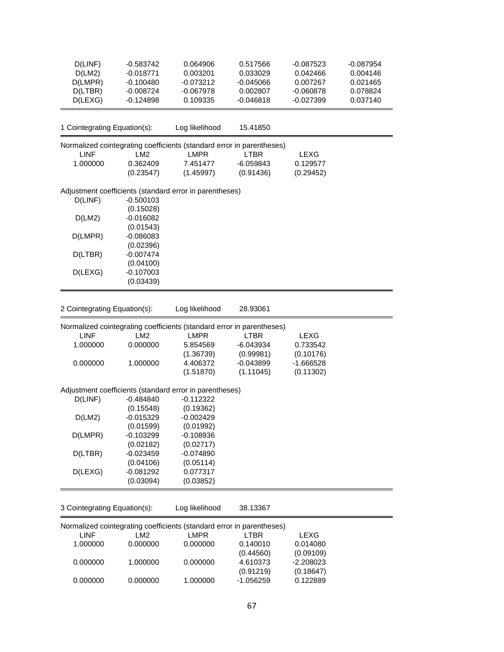| D(LINF)<br>D(LM2)            | $-0.583742$<br>$-0.018771$ | 0.064906<br>0.003201                                                                 | 0.517566<br>0.033029 | $-0.087523$<br>0.042466 | $-0.087954$<br>0.004146 |
|------------------------------|----------------------------|--------------------------------------------------------------------------------------|----------------------|-------------------------|-------------------------|
| D(LMPR)                      | $-0.100480$                | $-0.073212$                                                                          | $-0.045066$          | 0.007267                | 0.021465                |
| D(LTBR)                      | $-0.008724$                | $-0.067978$                                                                          | 0.002807             | $-0.060878$             | 0.078824                |
| D(LEXG)                      | $-0.124898$                | 0.109335                                                                             | $-0.046818$          | $-0.027399$             | 0.037140                |
|                              |                            |                                                                                      |                      |                         |                         |
| 1 Cointegrating Equation(s): |                            | Log likelihood                                                                       | 15.41850             |                         |                         |
| <b>LINF</b>                  | LM <sub>2</sub>            | Normalized cointegrating coefficients (standard error in parentheses)<br><b>LMPR</b> | <b>LTBR</b>          | <b>LEXG</b>             |                         |
| 1.000000                     | 0.362409                   | 7.451477                                                                             | $-6.059843$          | 0.129577                |                         |
|                              | (0.23547)                  | (1.45997)                                                                            | (0.91436)            | (0.29452)               |                         |
|                              |                            | Adjustment coefficients (standard error in parentheses)                              |                      |                         |                         |
| D(LINF)                      | $-0.500103$                |                                                                                      |                      |                         |                         |
|                              | (0.15028)                  |                                                                                      |                      |                         |                         |
| D(LM2)                       | $-0.016082$                |                                                                                      |                      |                         |                         |
|                              | (0.01543)                  |                                                                                      |                      |                         |                         |
| D(LMPR)                      | $-0.086083$                |                                                                                      |                      |                         |                         |
|                              | (0.02396)                  |                                                                                      |                      |                         |                         |
| D(LTBR)                      | $-0.007474$                |                                                                                      |                      |                         |                         |
|                              | (0.04100)                  |                                                                                      |                      |                         |                         |
|                              | $-0.107003$                |                                                                                      |                      |                         |                         |
| D(LEXG)                      | (0.03439)                  |                                                                                      |                      |                         |                         |
|                              |                            |                                                                                      |                      |                         |                         |
|                              |                            |                                                                                      |                      |                         |                         |
| 2 Cointegrating Equation(s): |                            | Log likelihood                                                                       | 28.93061             |                         |                         |
|                              |                            | Normalized cointegrating coefficients (standard error in parentheses)                |                      |                         |                         |
| <b>LINF</b>                  | LM2                        | <b>LMPR</b>                                                                          | <b>LTBR</b>          | <b>LEXG</b>             |                         |
| 1.000000                     | 0.000000                   | 5.854569                                                                             | $-6.043934$          | 0.733542                |                         |
|                              |                            | (1.36739)                                                                            | (0.99981)            | (0.10176)               |                         |
| 0.000000                     | 1.000000                   | 4.406372                                                                             | $-0.043899$          | $-1.666528$             |                         |
|                              |                            | (1.51870)                                                                            | (1.11045)            | (0.11302)               |                         |
|                              |                            |                                                                                      |                      |                         |                         |
|                              |                            | Adjustment coefficients (standard error in parentheses)                              |                      |                         |                         |
| D(LINF)                      | $-0.484840$                | $-0.112322$                                                                          |                      |                         |                         |
|                              | (0.15548)                  | (0.19362)                                                                            |                      |                         |                         |
| D(LM2)                       | $-0.015329$                | $-0.002429$                                                                          |                      |                         |                         |
|                              | (0.01599)                  | (0.01992)                                                                            |                      |                         |                         |
| D(LMPR)                      | $-0.103299$                | $-0.108936$                                                                          |                      |                         |                         |
|                              | (0.02182)                  | (0.02717)                                                                            |                      |                         |                         |
| D(LTBR)                      | $-0.023459$                | $-0.074890$                                                                          |                      |                         |                         |
|                              | (0.04106)                  | (0.05114)                                                                            |                      |                         |                         |
| D(LEXG)                      | $-0.081292$                | 0.077317                                                                             |                      |                         |                         |
|                              | (0.03094)                  | (0.03852)                                                                            |                      |                         |                         |
|                              |                            |                                                                                      |                      |                         |                         |
|                              |                            |                                                                                      |                      |                         |                         |
| 3 Cointegrating Equation(s): |                            | Log likelihood                                                                       | 38.13367             |                         |                         |
|                              |                            | Normalized cointegrating coefficients (standard error in parentheses)                |                      |                         |                         |
| LINF                         | LM <sub>2</sub>            | <b>LMPR</b>                                                                          | <b>LTBR</b>          | <b>LEXG</b>             |                         |
| 1.000000                     | 0.000000                   | 0.000000                                                                             | 0.140010             | 0.014080                |                         |
|                              |                            |                                                                                      | (0.44560)            | (0.09109)               |                         |
| 0.000000                     | 1.000000                   | 0.000000                                                                             | 4.610373             | $-2.208023$             |                         |
|                              |                            |                                                                                      | (0.91219)            | (0.18647)               |                         |
| 0.000000                     | 0.000000                   | 1.000000                                                                             | $-1.056259$          | 0.122889                |                         |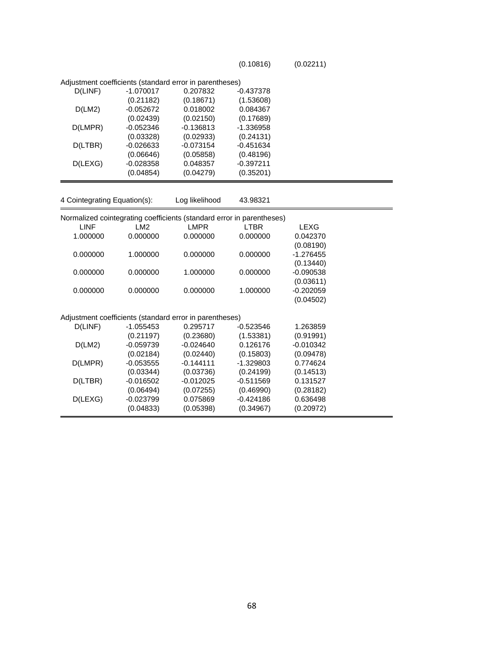(0.10816) (0.02211)

|                              |             | Adjustment coefficients (standard error in parentheses)               |             |             |  |
|------------------------------|-------------|-----------------------------------------------------------------------|-------------|-------------|--|
| D(LINF)                      | $-1.070017$ | 0.207832                                                              | $-0.437378$ |             |  |
|                              | (0.21182)   | (0.18671)                                                             | (1.53608)   |             |  |
| D(LM2)                       | $-0.052672$ | 0.018002                                                              | 0.084367    |             |  |
|                              | (0.02439)   | (0.02150)                                                             | (0.17689)   |             |  |
| D(LMPR)                      | $-0.052346$ | $-0.136813$                                                           | $-1.336958$ |             |  |
|                              | (0.03328)   | (0.02933)                                                             | (0.24131)   |             |  |
| D(LTBR)                      | $-0.026633$ | $-0.073154$                                                           | $-0.451634$ |             |  |
|                              | (0.06646)   | (0.05858)                                                             | (0.48196)   |             |  |
| D(LEXG)                      | $-0.028358$ | 0.048357                                                              | $-0.397211$ |             |  |
|                              | (0.04854)   | (0.04279)                                                             | (0.35201)   |             |  |
|                              |             |                                                                       |             |             |  |
| 4 Cointegrating Equation(s): |             | Log likelihood                                                        | 43.98321    |             |  |
|                              |             | Normalized cointegrating coefficients (standard error in parentheses) |             |             |  |
| <b>LINF</b>                  | LM2         | <b>LMPR</b>                                                           | <b>LTBR</b> | <b>LEXG</b> |  |
| 1.000000                     | 0.000000    | 0.000000                                                              | 0.000000    | 0.042370    |  |
|                              |             |                                                                       |             | (0.08190)   |  |
| 0.000000                     | 1.000000    | 0.000000                                                              | 0.000000    | $-1.276455$ |  |
|                              |             |                                                                       |             | (0.13440)   |  |
| 0.000000                     | 0.000000    | 1.000000                                                              | 0.000000    | $-0.090538$ |  |
|                              |             |                                                                       |             | (0.03611)   |  |
| 0.000000                     | 0.000000    | 0.000000                                                              | 1.000000    | $-0.202059$ |  |
|                              |             |                                                                       |             | (0.04502)   |  |
|                              |             | Adjustment coefficients (standard error in parentheses)               |             |             |  |
| D(LINF)                      | $-1.055453$ | 0.295717                                                              | $-0.523546$ | 1.263859    |  |
|                              | (0.21197)   | (0.23680)                                                             | (1.53381)   | (0.91991)   |  |
| D(LM2)                       | $-0.059739$ | $-0.024640$                                                           | 0.126176    | $-0.010342$ |  |
|                              | (0.02184)   | (0.02440)                                                             | (0.15803)   | (0.09478)   |  |
| D(LMPR)                      | $-0.053555$ | $-0.144111$                                                           | $-1.329803$ | 0.774624    |  |
|                              | (0.03344)   | (0.03736)                                                             | (0.24199)   | (0.14513)   |  |
| D(LTBR)                      | $-0.016502$ | $-0.012025$                                                           | $-0.511569$ | 0.131527    |  |
|                              | (0.06494)   | (0.07255)                                                             | (0.46990)   | (0.28182)   |  |
| D(LEXG)                      | $-0.023799$ | 0.075869                                                              | $-0.424186$ | 0.636498    |  |
|                              | (0.04833)   | (0.05398)                                                             | (0.34967)   | (0.20972)   |  |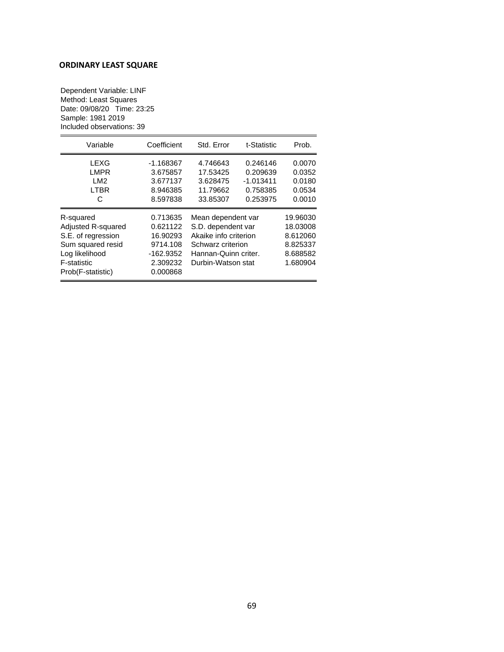## **ORDINARY LEAST SQUARE**

Dependent Variable: LINF Method: Least Squares Date: 09/08/20 Time: 23:25 Sample: 1981 2019 Included observations: 39

| Variable                                                                                                                         | Coefficient                                                                         | Std. Error                                                                                                                           | t-Statistic                                                 | Prob.                                                                |
|----------------------------------------------------------------------------------------------------------------------------------|-------------------------------------------------------------------------------------|--------------------------------------------------------------------------------------------------------------------------------------|-------------------------------------------------------------|----------------------------------------------------------------------|
| LEXG<br><b>LMPR</b><br>LM <sub>2</sub><br><b>LTBR</b><br>C                                                                       | $-1.168367$<br>3.675857<br>3.677137<br>8.946385<br>8.597838                         | 4.746643<br>17.53425<br>3.628475<br>11.79662<br>33.85307                                                                             | 0.246146<br>0.209639<br>$-1.013411$<br>0.758385<br>0.253975 | 0.0070<br>0.0352<br>0.0180<br>0.0534<br>0.0010                       |
| R-squared<br>Adjusted R-squared<br>S.E. of regression<br>Sum squared resid<br>Log likelihood<br>F-statistic<br>Prob(F-statistic) | 0.713635<br>0.621122<br>16.90293<br>9714.108<br>$-162.9352$<br>2.309232<br>0.000868 | Mean dependent var<br>S.D. dependent var<br>Akaike info criterion<br>Schwarz criterion<br>Hannan-Quinn criter.<br>Durbin-Watson stat |                                                             | 19.96030<br>18.03008<br>8.612060<br>8.825337<br>8.688582<br>1.680904 |